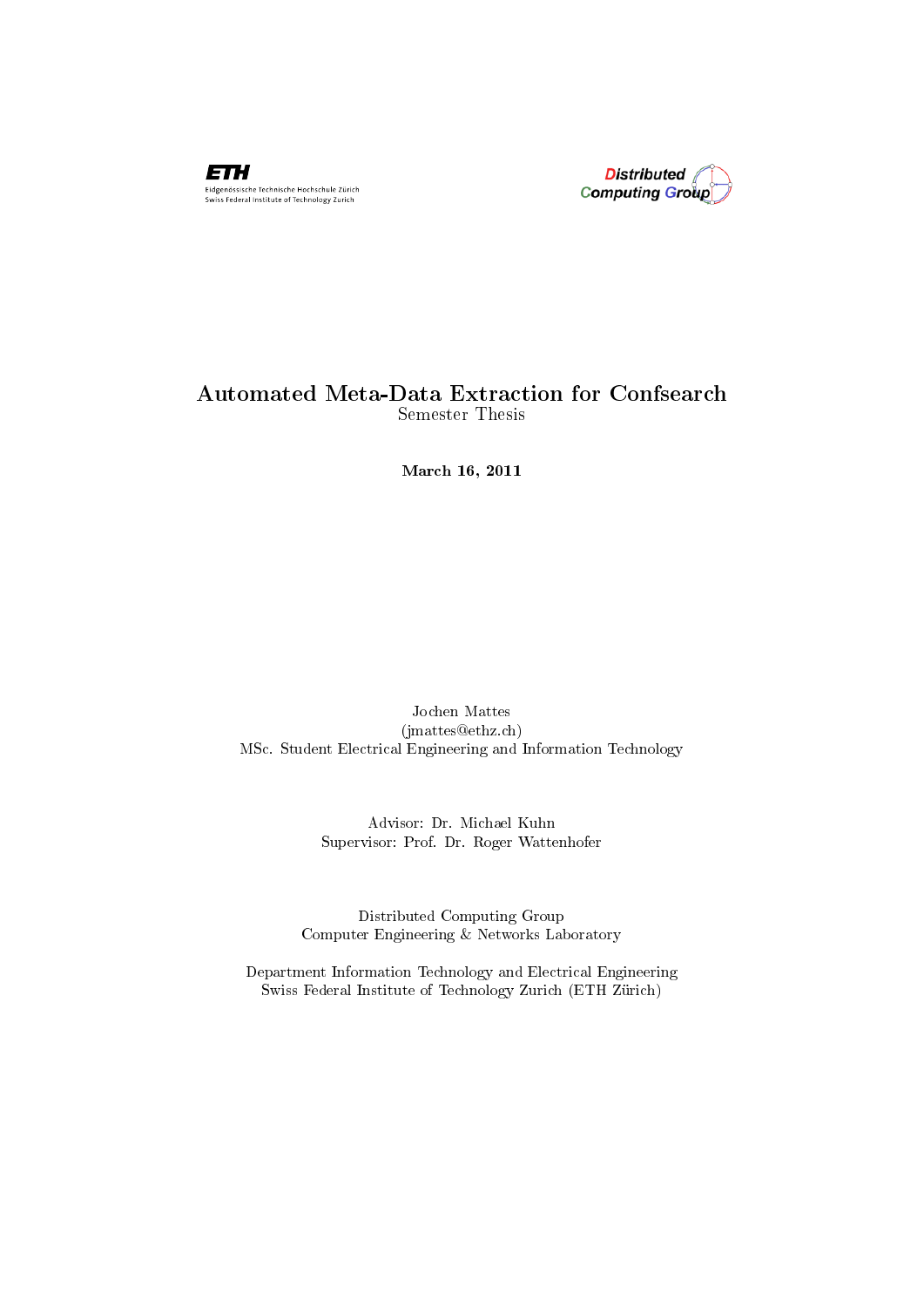



#### Automated Meta-Data Extraction for Confsearch Semester Thesis

March 16, 2011

Jochen Mattes (jmattes@ethz.ch) MSc. Student Electrical Engineering and Information Technology

> Advisor: Dr. Michael Kuhn Supervisor: Prof. Dr. Roger Wattenhofer

Distributed Computing Group Computer Engineering & Networks Laboratory

Department Information Technology and Electrical Engineering Swiss Federal Institute of Technology Zurich (ETH Zürich)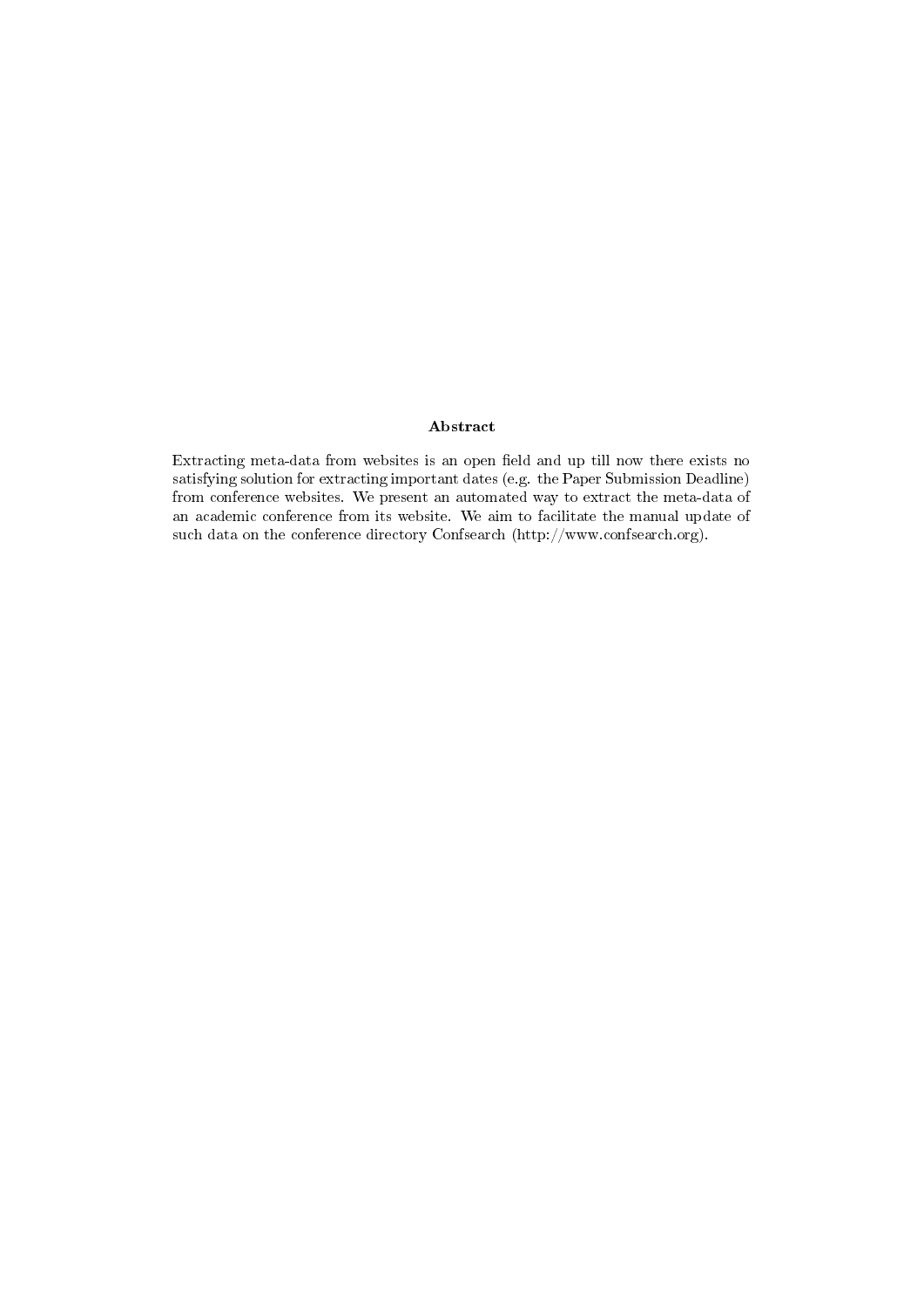#### Abstract

Extracting meta-data from websites is an open field and up till now there exists no satisfying solution for extracting important dates (e.g. the Paper Submission Deadline) from conference websites. We present an automated way to extract the meta-data of an academic conference from its website. We aim to facilitate the manual update of such data on the conference directory Confsearch (http://www.confsearch.org).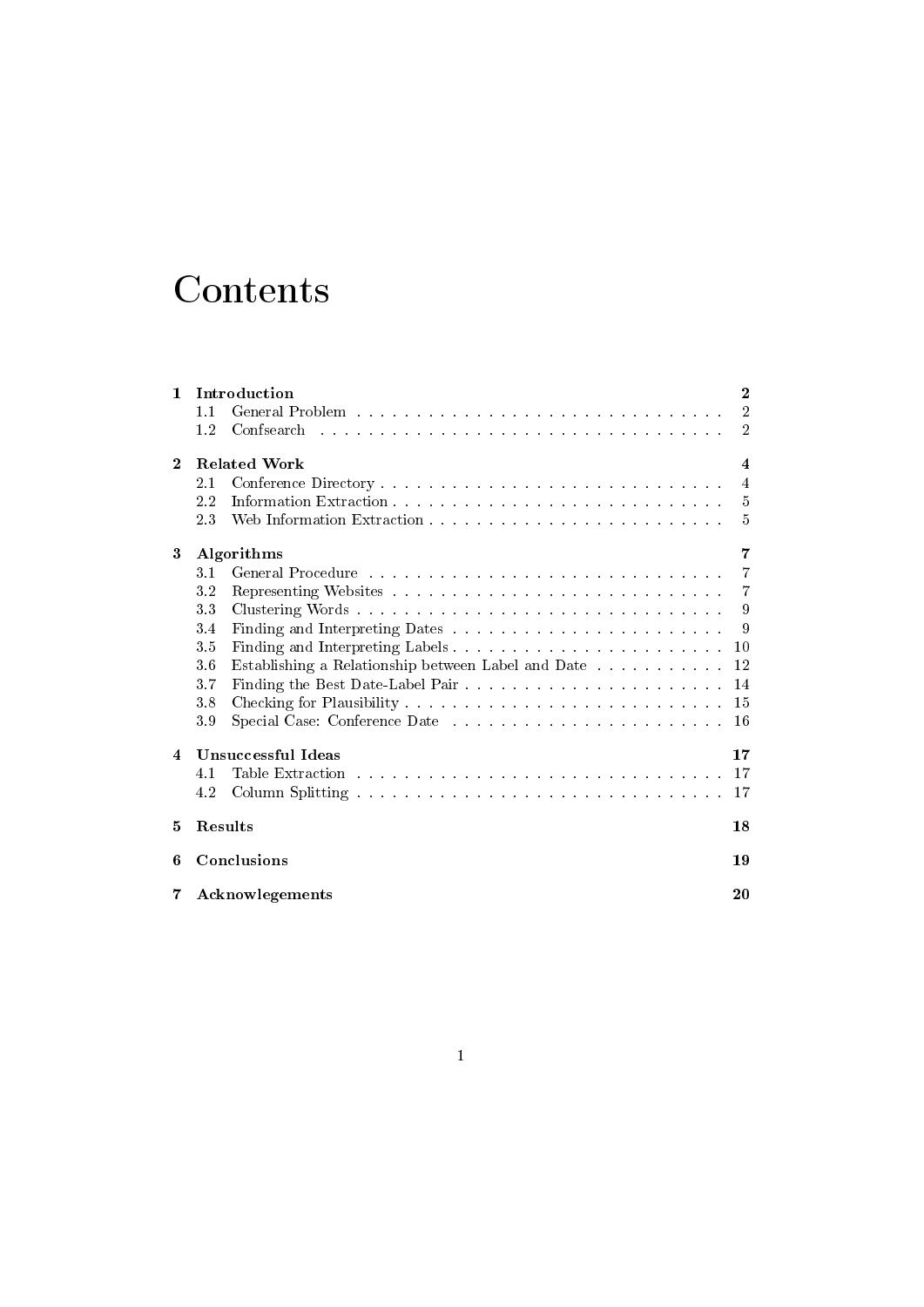# Contents

| $\mathbf{1}$            | Introduction        |                                                    |                |  |  |  |
|-------------------------|---------------------|----------------------------------------------------|----------------|--|--|--|
|                         | 1.1                 |                                                    | $\overline{2}$ |  |  |  |
|                         | 1.2                 |                                                    | $\overline{2}$ |  |  |  |
| $\mathbf{2}$            | <b>Related Work</b> |                                                    |                |  |  |  |
|                         | 2.1                 |                                                    | $\overline{4}$ |  |  |  |
|                         | 2.2                 |                                                    | - 5            |  |  |  |
|                         | 2.3                 |                                                    | $\overline{5}$ |  |  |  |
| 3                       | Algorithms<br>7     |                                                    |                |  |  |  |
|                         | 3.1                 |                                                    | $\overline{7}$ |  |  |  |
|                         | 3.2                 |                                                    | $\overline{7}$ |  |  |  |
|                         | 33                  | Clustering Words                                   | -9             |  |  |  |
|                         | 3.4                 |                                                    | - 9            |  |  |  |
|                         | 3.5                 |                                                    | 10             |  |  |  |
|                         | 3.6                 | Establishing a Relationship between Label and Date | 12             |  |  |  |
|                         | 3.7                 |                                                    | 14             |  |  |  |
|                         | 3.8                 |                                                    | 15             |  |  |  |
|                         | 3.9                 |                                                    | 16             |  |  |  |
| $\overline{\mathbf{4}}$ | Unsuccessful Ideas  |                                                    |                |  |  |  |
|                         | 4.1                 |                                                    | 17             |  |  |  |
|                         | 4.2                 |                                                    | 17             |  |  |  |
| 5                       | Results             |                                                    | 18             |  |  |  |
| 6                       | Conclusions         |                                                    |                |  |  |  |
| 7<br>Acknowlegements    |                     |                                                    | 20             |  |  |  |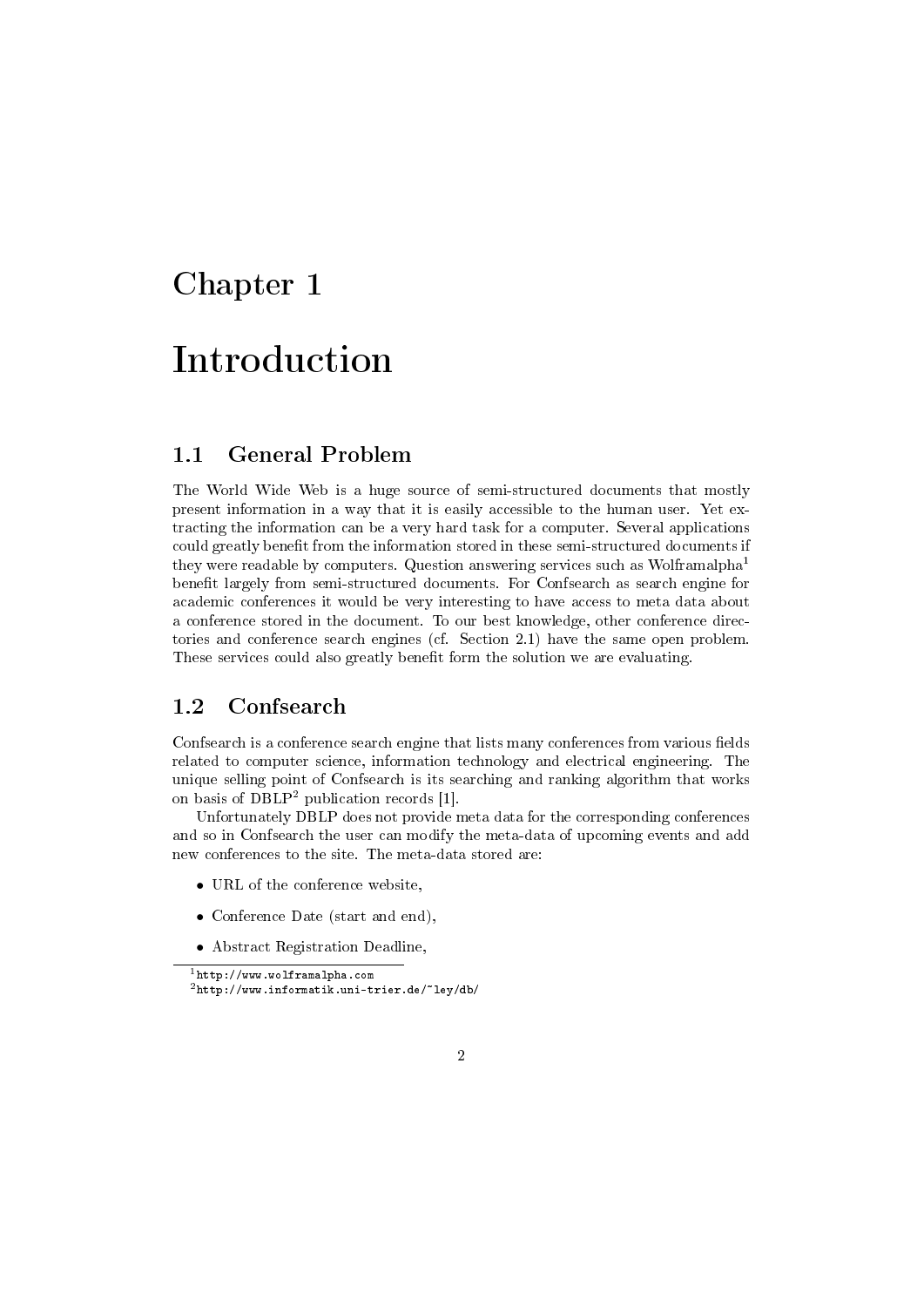## Introduction

#### 1.1 General Problem

The World Wide Web is a huge source of semi-structured documents that mostly present information in a way that it is easily accessible to the human user. Yet extracting the information can be a very hard task for a computer. Several applications could greatly benefit from the information stored in these semi-structured documents if they were readable by computers. Question answering services such as Wolframalpha<sup>1</sup> benefit largely from semi-structured documents. For Confsearch as search engine for academic conferences it would be very interesting to have access to meta data about a conference stored in the document. To our best knowledge, other conference directories and conference search engines (cf. Section 2.1) have the same open problem. These services could also greatly benefit form the solution we are evaluating.

#### 1.2 Confsearch

Confsearch is a conference search engine that lists many conferences from various fields related to computer science, information technology and electrical engineering. The unique selling point of Confsearch is its searching and ranking algorithm that works on basis of DBLP<sup>2</sup> publication records [1].

Unfortunately DBLP does not provide meta data for the corresponding conferences and so in Confsearch the user can modify the meta-data of upcoming events and add new conferences to the site. The meta-data stored are:

- URL of the conference website,
- Conference Date (start and end),
- Abstract Registration Deadline,

 $1$ http://www.wolframalpha.com <sup>2</sup>http://www.informatik.uni-trier.de/~ley/db/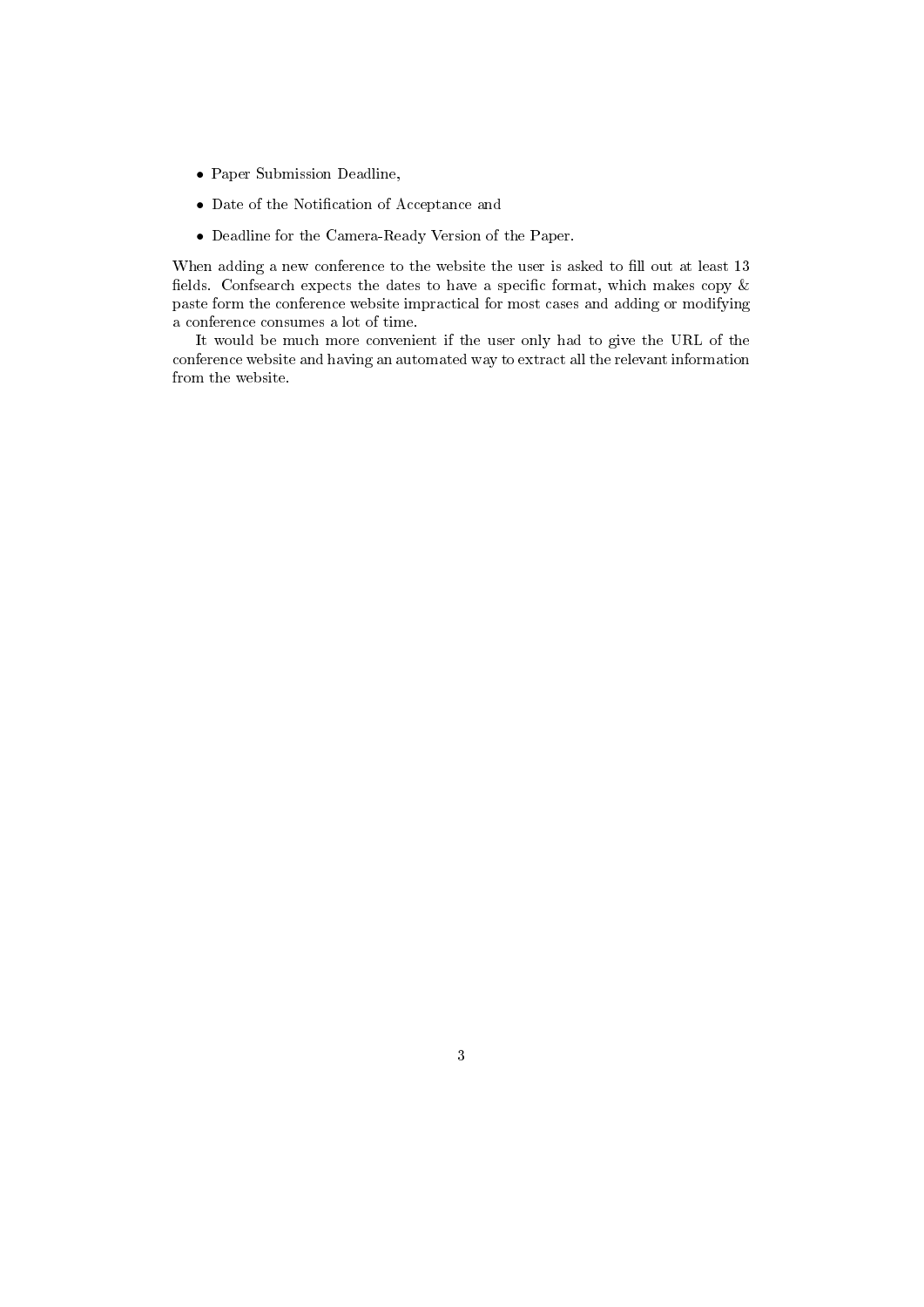- Paper Submission Deadline,
- Date of the Notification of Acceptance and
- Deadline for the Camera-Ready Version of the Paper.

When adding a new conference to the website the user is asked to fill out at least 13 fields. Confsearch expects the dates to have a specific format, which makes copy  $\&$ paste form the conference website impractical for most cases and adding or modifying a conference consumes a lot of time.

It would be much more convenient if the user only had to give the URL of the conference website and having an automated way to extract all the relevant information from the website.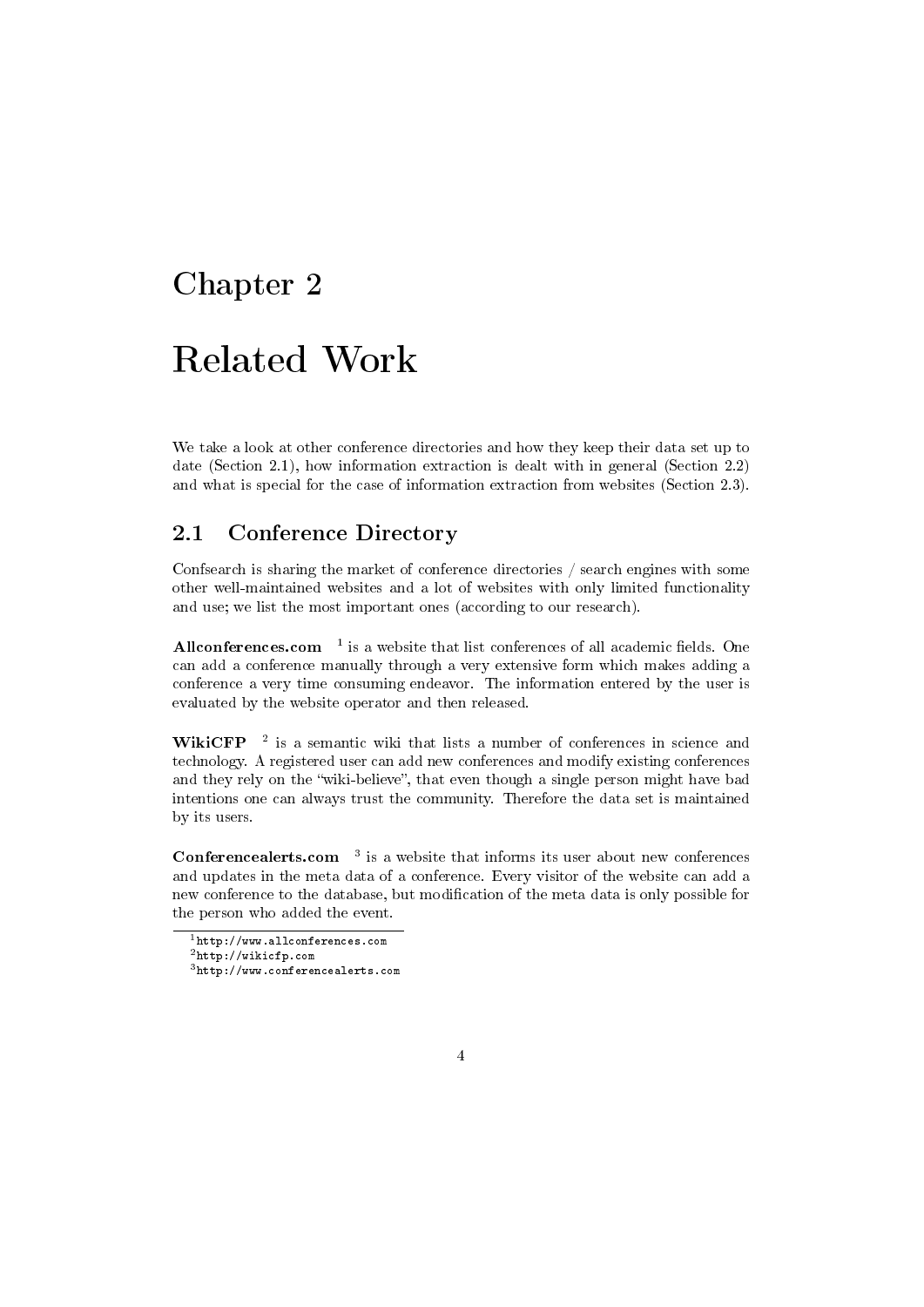## Related Work

We take a look at other conference directories and how they keep their data set up to date (Section 2.1), how information extraction is dealt with in general (Section 2.2) and what is special for the case of information extraction from websites (Section 2.3).

#### 2.1 Conference Directory

Confsearch is sharing the market of conference directories / search engines with some other well-maintained websites and a lot of websites with only limited functionality and use; we list the most important ones (according to our research).

Allconferences.com  $^{-1}$  is a website that list conferences of all academic fields. One can add a conference manually through a very extensive form which makes adding a conference a very time consuming endeavor. The information entered by the user is evaluated by the website operator and then released.

WikiCFP  $^{-2}$  is a semantic wiki that lists a number of conferences in science and technology. A registered user can add new conferences and modify existing conferences and they rely on the "wiki-believe", that even though a single person might have bad intentions one can always trust the community. Therefore the data set is maintained by its users.

**Conferencealerts.com**  $3$  is a website that informs its user about new conferences and updates in the meta data of a conference. Every visitor of the website can add a new conference to the database, but modification of the meta data is only possible for the person who added the event.

 $1$ http://www.allconferences.com

<sup>2</sup>http://wikicfp.com

<sup>3</sup>http://www.conferencealerts.com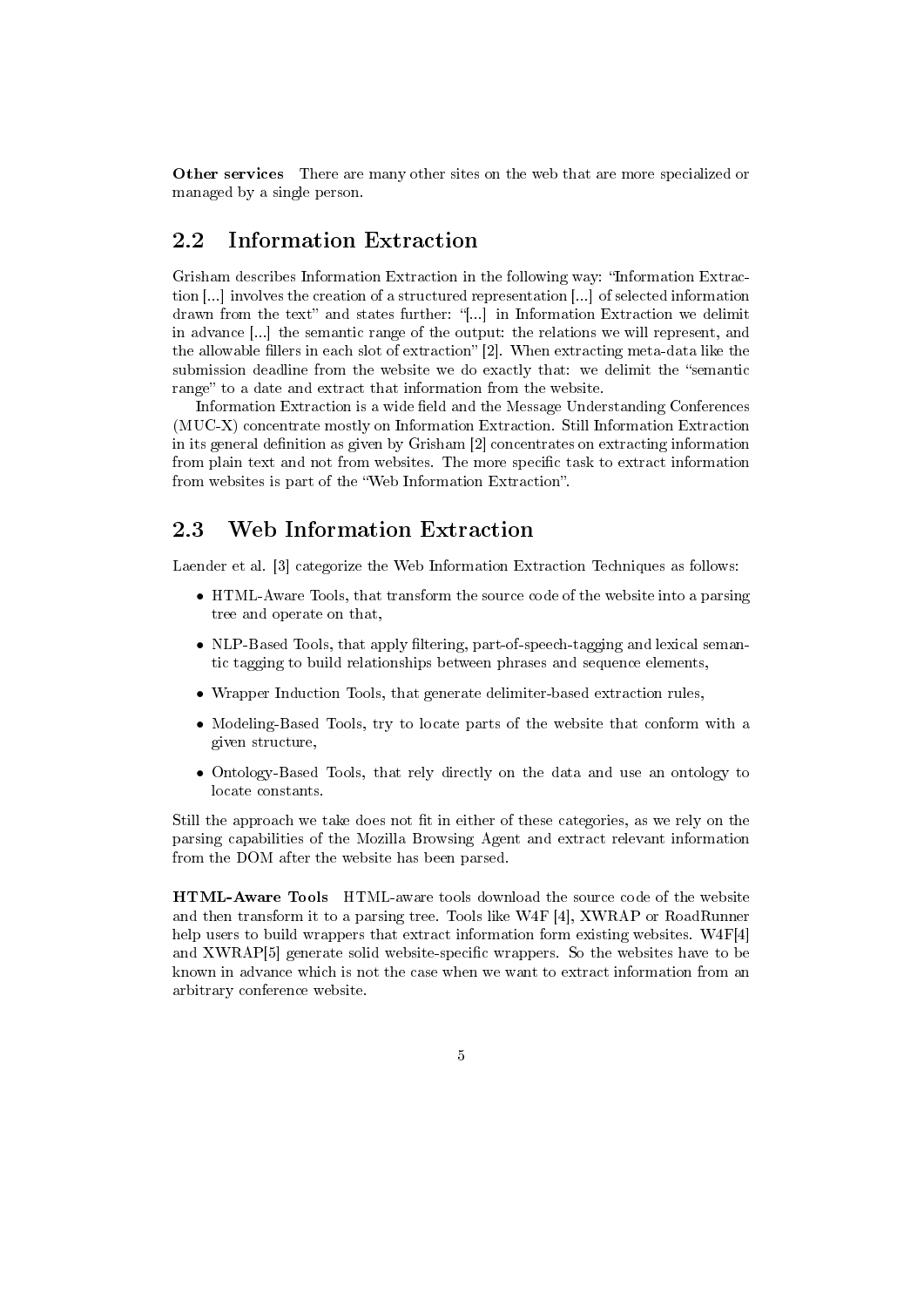Other services There are many other sites on the web that are more specialized or managed by a single person.

#### 2.2 Information Extraction

Grisham describes Information Extraction in the following way: "Information Extraction [...] involves the creation of a structured representation [...] of selected information drawn from the text" and states further: "[...] in Information Extraction we delimit in advance [...] the semantic range of the output: the relations we will represent, and the allowable fillers in each slot of extraction"  $[2]$ . When extracting meta-data like the submission deadline from the website we do exactly that: we delimit the "semantic range" to a date and extract that information from the website.

Information Extraction is a wide field and the Message Understanding Conferences (MUC-X) concentrate mostly on Information Extraction. Still Information Extraction in its general definition as given by Grisham  $[2]$  concentrates on extracting information from plain text and not from websites. The more specific task to extract information from websites is part of the "Web Information Extraction".

#### 2.3 Web Information Extraction

Laender et al. [3] categorize the Web Information Extraction Techniques as follows:

- HTML-Aware Tools, that transform the source code of the website into a parsing tree and operate on that,
- NLP-Based Tools, that apply filtering, part-of-speech-tagging and lexical semantic tagging to build relationships between phrases and sequence elements,
- Wrapper Induction Tools, that generate delimiter-based extraction rules,
- Modeling-Based Tools, try to locate parts of the website that conform with a given structure,
- Ontology-Based Tools, that rely directly on the data and use an ontology to locate constants.

Still the approach we take does not fit in either of these categories, as we rely on the parsing capabilities of the Mozilla Browsing Agent and extract relevant information from the DOM after the website has been parsed.

HTML-Aware Tools HTML-aware tools download the source code of the website and then transform it to a parsing tree. Tools like W4F [4], XWRAP or RoadRunner help users to build wrappers that extract information form existing websites. W4F[4] and XWRAP[5] generate solid website-specific wrappers. So the websites have to be known in advance which is not the case when we want to extract information from an arbitrary conference website.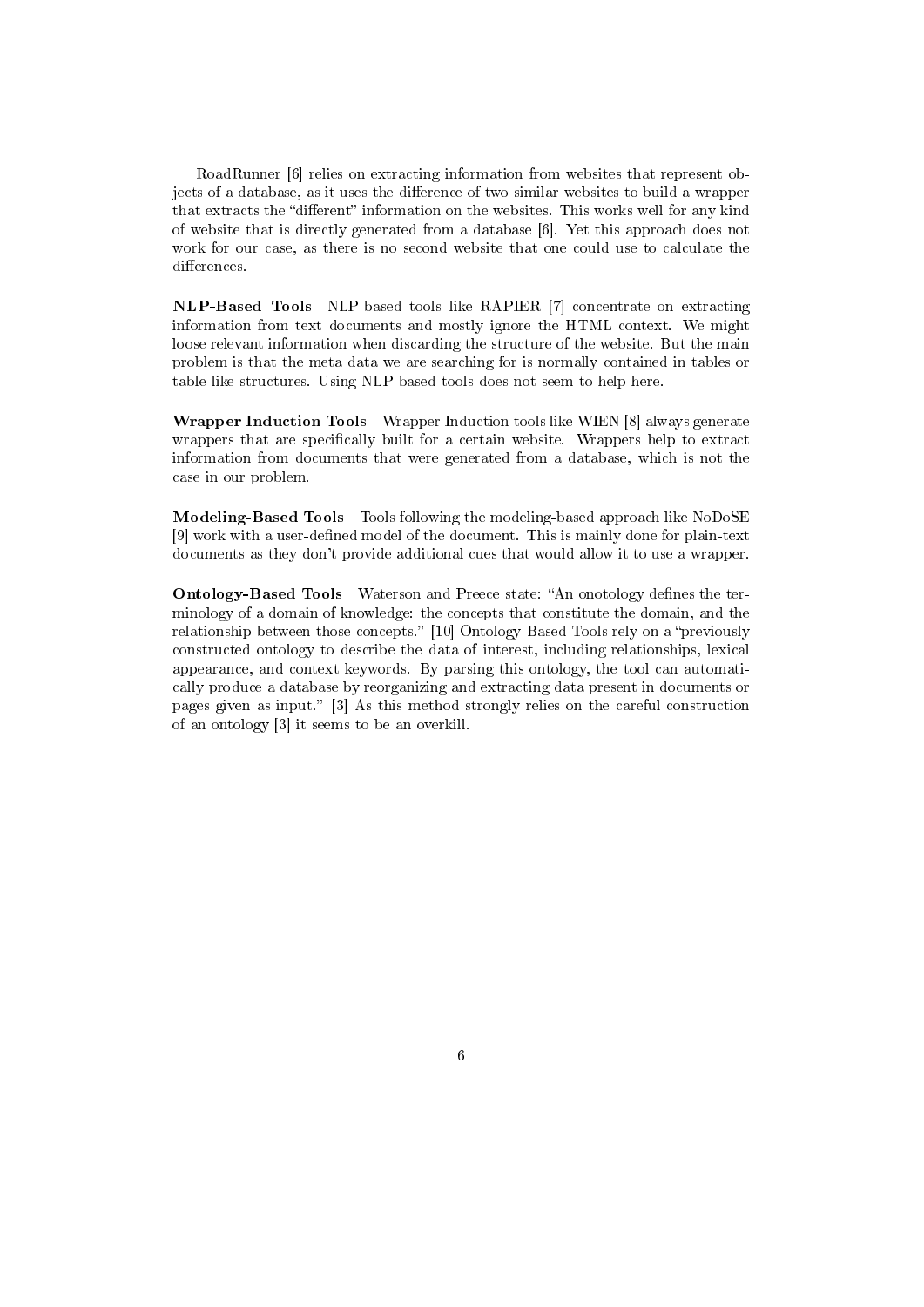RoadRunner [6] relies on extracting information from websites that represent objects of a database, as it uses the difference of two similar websites to build a wrapper that extracts the "different" information on the websites. This works well for any kind of website that is directly generated from a database [6]. Yet this approach does not work for our case, as there is no second website that one could use to calculate the differences.

NLP-Based Tools NLP-based tools like RAPIER [7] concentrate on extracting information from text documents and mostly ignore the HTML context. We might loose relevant information when discarding the structure of the website. But the main problem is that the meta data we are searching for is normally contained in tables or table-like structures. Using NLP-based tools does not seem to help here.

Wrapper Induction Tools Wrapper Induction tools like WIEN [8] always generate wrappers that are specifically built for a certain website. Wrappers help to extract information from documents that were generated from a database, which is not the case in our problem.

Modeling-Based Tools Tools following the modeling-based approach like NoDoSE [9] work with a user-defined model of the document. This is mainly done for plain-text documents as they don't provide additional cues that would allow it to use a wrapper.

Ontology-Based Tools Waterson and Preece state: "An onotology defines the terminology of a domain of knowledge: the concepts that constitute the domain, and the relationship between those concepts." [10] Ontology-Based Tools rely on a "previously constructed ontology to describe the data of interest, including relationships, lexical appearance, and context keywords. By parsing this ontology, the tool can automatically produce a database by reorganizing and extracting data present in documents or pages given as input. [3] As this method strongly relies on the careful construction of an ontology [3] it seems to be an overkill.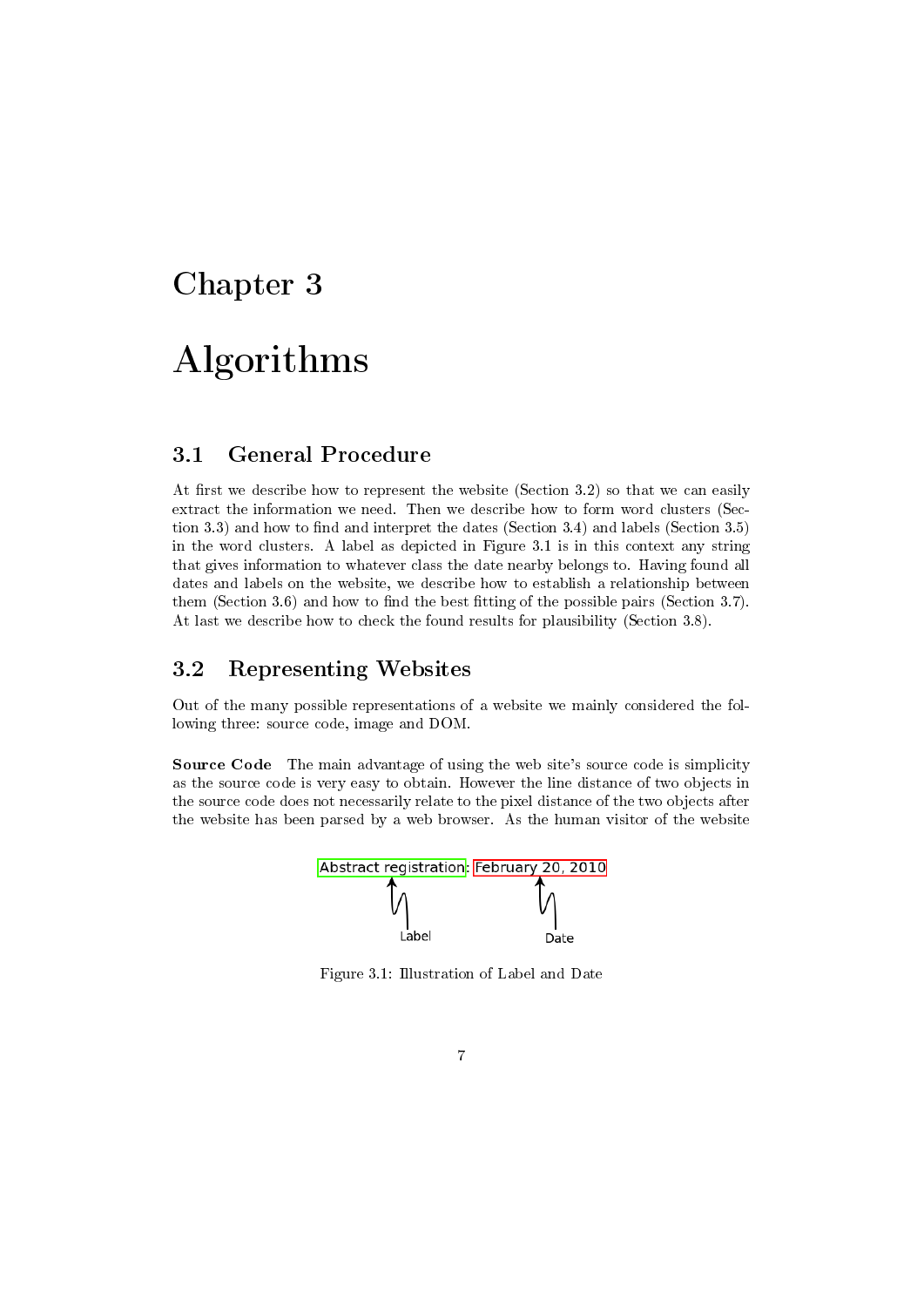## Algorithms

#### 3.1 General Procedure

At first we describe how to represent the website (Section 3.2) so that we can easily extract the information we need. Then we describe how to form word clusters (Section 3.3) and how to find and interpret the dates (Section 3.4) and labels (Section 3.5) in the word clusters. A label as depicted in Figure 3.1 is in this context any string that gives information to whatever class the date nearby belongs to. Having found all dates and labels on the website, we describe how to establish a relationship between them (Section 3.6) and how to find the best fitting of the possible pairs (Section 3.7). At last we describe how to check the found results for plausibility (Section 3.8).

#### 3.2 Representing Websites

Out of the many possible representations of a website we mainly considered the following three: source code, image and DOM.

Source Code The main advantage of using the web site's source code is simplicity as the source code is very easy to obtain. However the line distance of two objects in the source code does not necessarily relate to the pixel distance of the two objects after the website has been parsed by a web browser. As the human visitor of the website



Figure 3.1: Illustration of Label and Date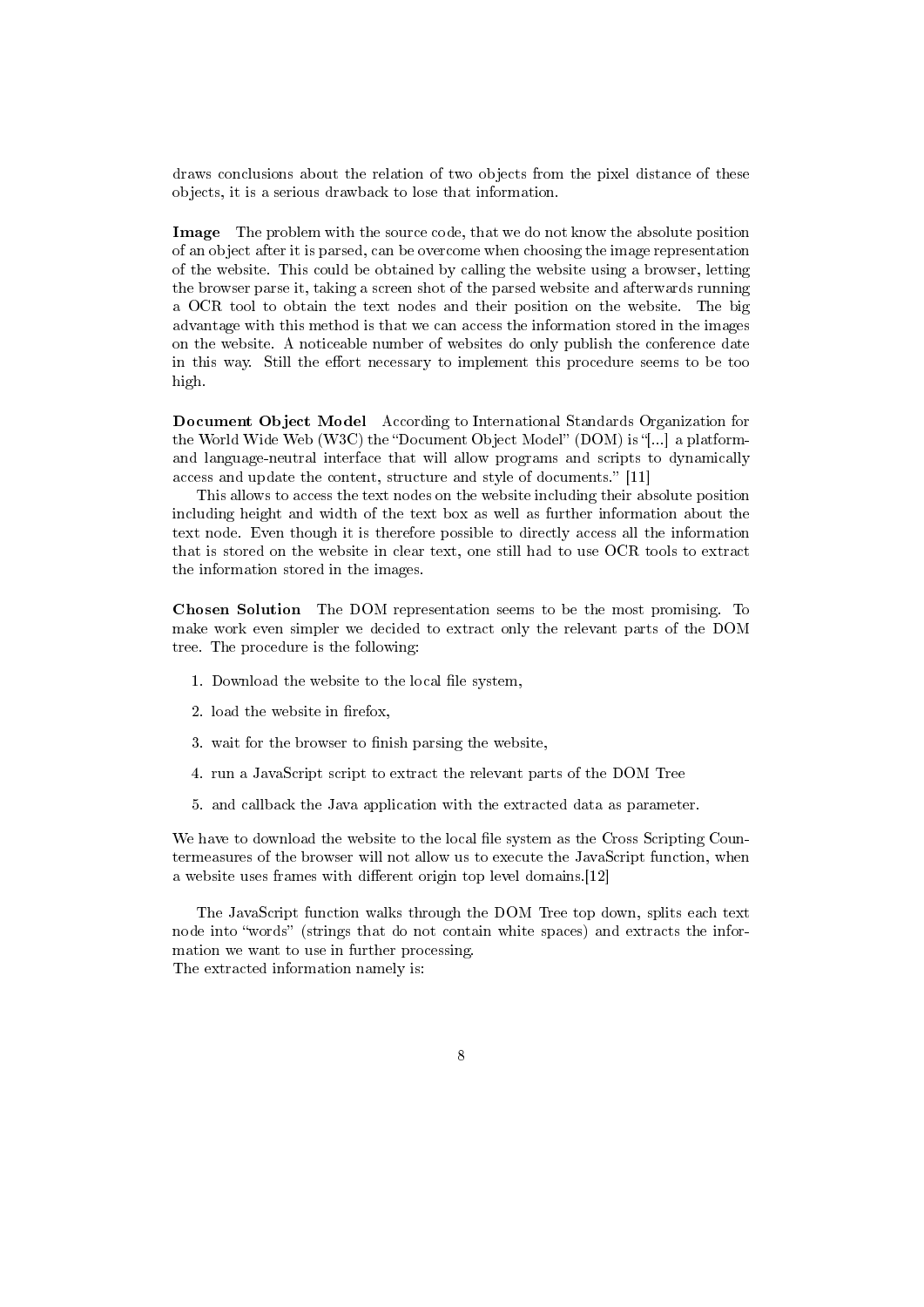draws conclusions about the relation of two objects from the pixel distance of these objects, it is a serious drawback to lose that information.

Image The problem with the source code, that we do not know the absolute position of an object after it is parsed, can be overcome when choosing the image representation of the website. This could be obtained by calling the website using a browser, letting the browser parse it, taking a screen shot of the parsed website and afterwards running a OCR tool to obtain the text nodes and their position on the website. The big advantage with this method is that we can access the information stored in the images on the website. A noticeable number of websites do only publish the conference date in this way. Still the effort necessary to implement this procedure seems to be too high.

Document Object Model According to International Standards Organization for the World Wide Web (W3C) the "Document Object Model" (DOM) is "[...] a platformand language-neutral interface that will allow programs and scripts to dynamically access and update the content, structure and style of documents." [11]

This allows to access the text nodes on the website including their absolute position including height and width of the text box as well as further information about the text node. Even though it is therefore possible to directly access all the information that is stored on the website in clear text, one still had to use OCR tools to extract the information stored in the images.

Chosen Solution The DOM representation seems to be the most promising. To make work even simpler we decided to extract only the relevant parts of the DOM tree. The procedure is the following:

- 1. Download the website to the local file system,
- 2. load the website in firefox,
- 3. wait for the browser to finish parsing the website,
- 4. run a JavaScript script to extract the relevant parts of the DOM Tree
- 5. and callback the Java application with the extracted data as parameter.

We have to download the website to the local file system as the Cross Scripting Countermeasures of the browser will not allow us to execute the JavaScript function, when a website uses frames with different origin top level domains.[12]

The JavaScript function walks through the DOM Tree top down, splits each text node into "words" (strings that do not contain white spaces) and extracts the information we want to use in further processing. The extracted information namely is: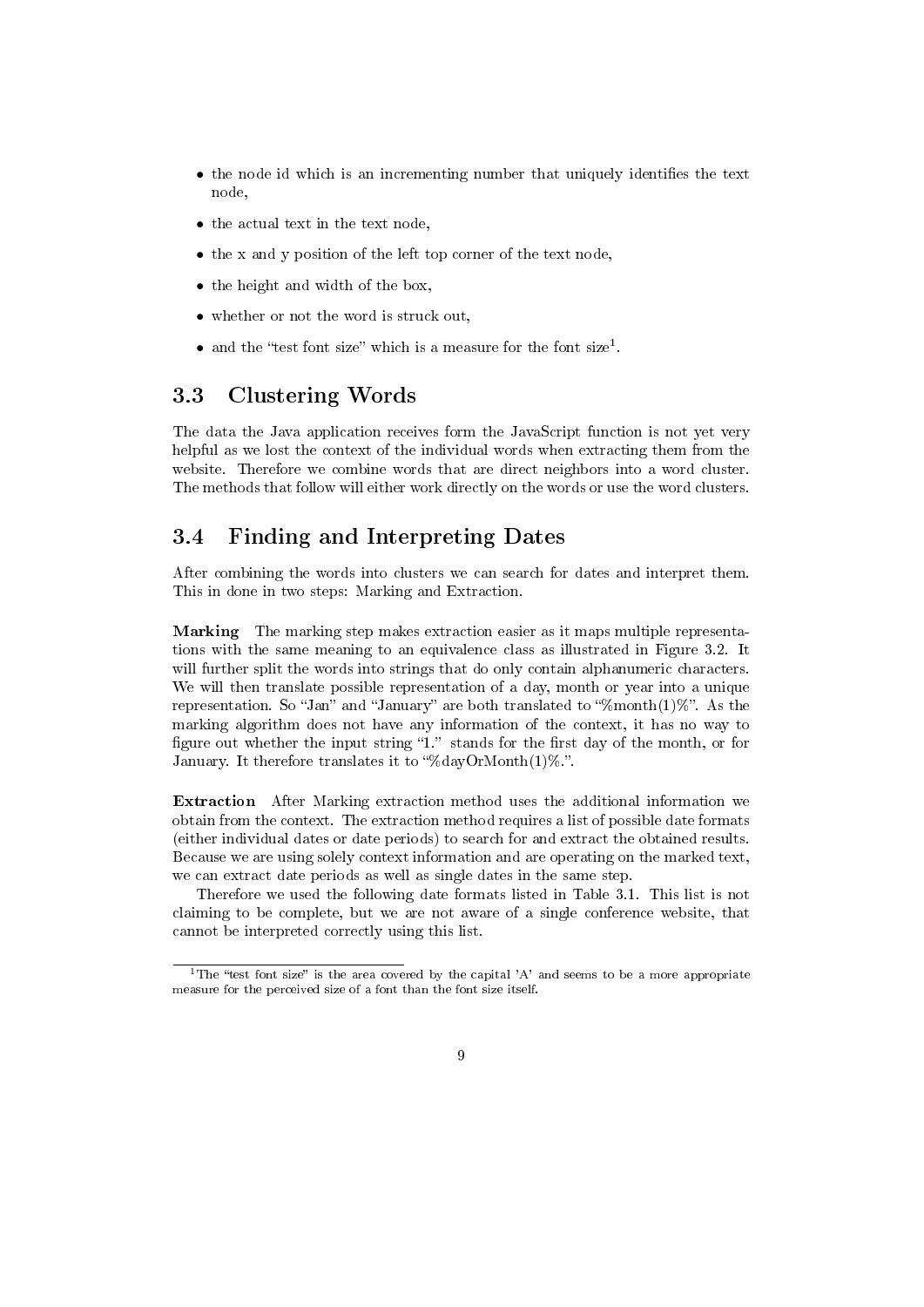- the node id which is an incrementing number that uniquely identifies the text node,
- the actual text in the text node,
- the x and y position of the left top corner of the text node,
- the height and width of the box,
- whether or not the word is struck out,
- and the "test font size" which is a measure for the font size<sup>1</sup>.

#### 3.3 Clustering Words

The data the Java application receives form the JavaScript function is not yet very helpful as we lost the context of the individual words when extracting them from the website. Therefore we combine words that are direct neighbors into a word cluster. The methods that follow will either work directly on the words or use the word clusters.

#### 3.4 Finding and Interpreting Dates

After combining the words into clusters we can search for dates and interpret them. This in done in two steps: Marking and Extraction.

Marking The marking step makes extraction easier as it maps multiple representations with the same meaning to an equivalence class as illustrated in Figure 3.2. It will further split the words into strings that do only contain alphanumeric characters. We will then translate possible representation of a day, month or year into a unique representation. So "Jan" and "January" are both translated to " $\gamma$ month(1)%". As the marking algorithm does not have any information of the context, it has no way to figure out whether the input string "1." stands for the first day of the month, or for January. It therefore translates it to "%dayOrMonth $(1)$ %.".

Extraction After Marking extraction method uses the additional information we obtain from the context. The extraction method requires a list of possible date formats (either individual dates or date periods) to search for and extract the obtained results. Because we are using solely context information and are operating on the marked text, we can extract date periods as well as single dates in the same step.

Therefore we used the following date formats listed in Table 3.1. This list is not claiming to be complete, but we are not aware of a single conference website, that cannot be interpreted correctly using this list.

<sup>&</sup>lt;sup>1</sup>The "test font size" is the area covered by the capital 'A' and seems to be a more appropriate measure for the perceived size of a font than the font size itself.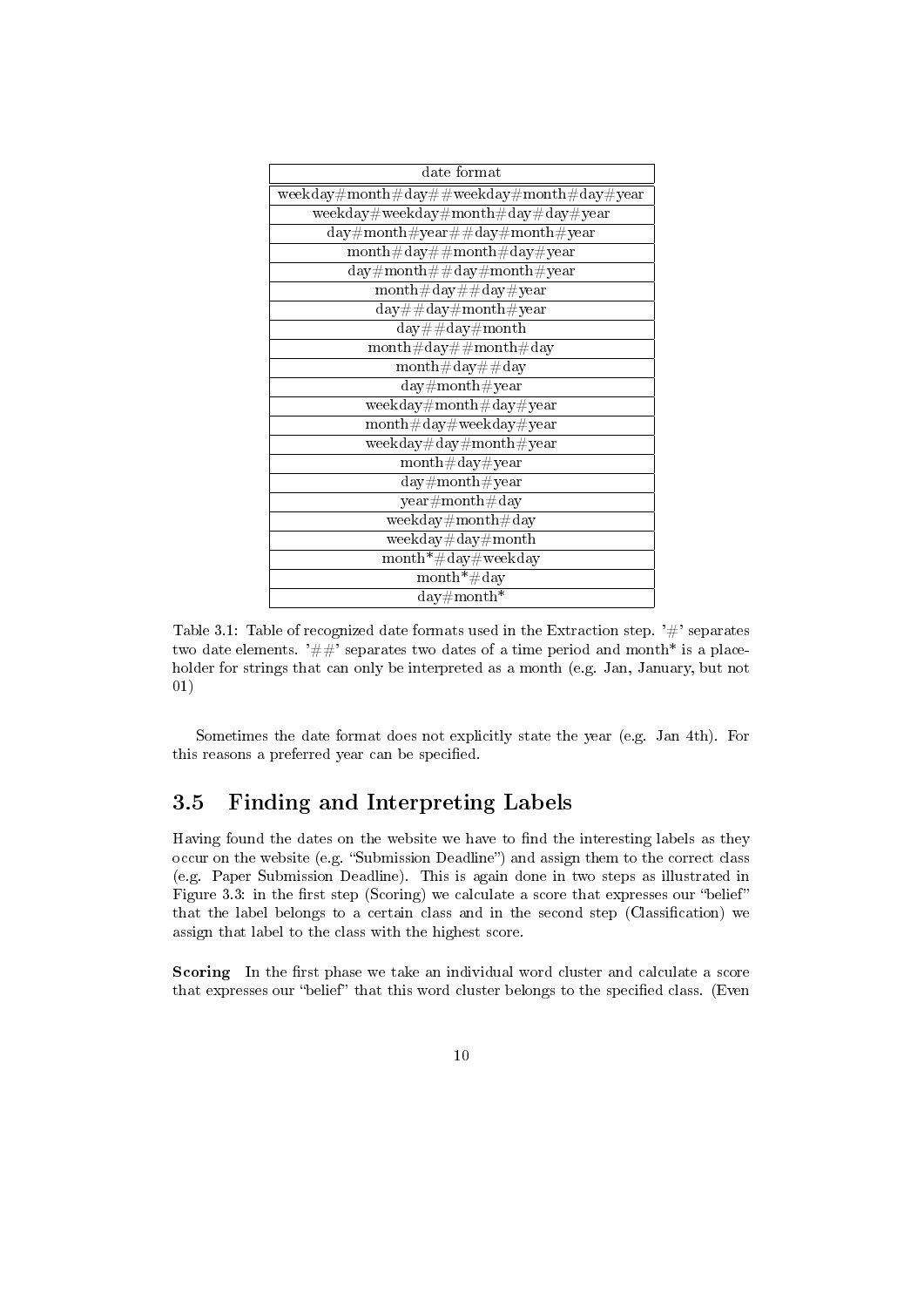| date format                                                           |  |  |  |  |
|-----------------------------------------------------------------------|--|--|--|--|
| weekday#month#day##weekday#month#day#year                             |  |  |  |  |
| ${\rm weekday\#weekday\#month\#day\#day\#year}$                       |  |  |  |  |
| $\overline{\rm day\#month\#year\#} \# \rm day\#month\#year$           |  |  |  |  |
| $\text{month}\#\text{day}\#\#\text{month}\#\text{day}\#\text{year}$   |  |  |  |  |
| $day\#month\# \#day\#month\# year$                                    |  |  |  |  |
| $month\#day\# \#day\#year$                                            |  |  |  |  |
| $day\# \# day\# month\# year$                                         |  |  |  |  |
| $day \# \#day \#month$                                                |  |  |  |  |
| $month\#day\#month\#day$                                              |  |  |  |  |
| $month\#day\# \#day$                                                  |  |  |  |  |
| $day\#month\#year$                                                    |  |  |  |  |
| $\overline{\text{weekday}\# \text{month}\# \text{day}\# \text{year}}$ |  |  |  |  |
| $month\#day\#weekday\#year$                                           |  |  |  |  |
| ${\rm weekday\#day\#month\#year}$                                     |  |  |  |  |
| $month\#day\#year$                                                    |  |  |  |  |
| $day\#month\#year$                                                    |  |  |  |  |
| year#month#day                                                        |  |  |  |  |
| $weekday \# month \#day$                                              |  |  |  |  |
| ${\rm weekday\#day\#month}$                                           |  |  |  |  |
| $month* \# day \# weekday$                                            |  |  |  |  |
| $\text{month*}$ #day                                                  |  |  |  |  |
| $day \# month^*$                                                      |  |  |  |  |

Table 3.1: Table of recognized date formats used in the Extraction step.  $'#$  separates two date elements.  $\#$  separates two dates of a time period and month\* is a placeholder for strings that can only be interpreted as a month (e.g. Jan, January, but not 01)

Sometimes the date format does not explicitly state the year (e.g. Jan 4th). For this reasons a preferred year can be specified.

#### 3.5 Finding and Interpreting Labels

Having found the dates on the website we have to find the interesting labels as they occur on the website (e.g. "Submission Deadline") and assign them to the correct class (e.g. Paper Submission Deadline). This is again done in two steps as illustrated in Figure 3.3: in the first step (Scoring) we calculate a score that expresses our "belief" that the label belongs to a certain class and in the second step (Classification) we assign that label to the class with the highest score.

Scoring In the first phase we take an individual word cluster and calculate a score that expresses our "belief" that this word cluster belongs to the specified class. (Even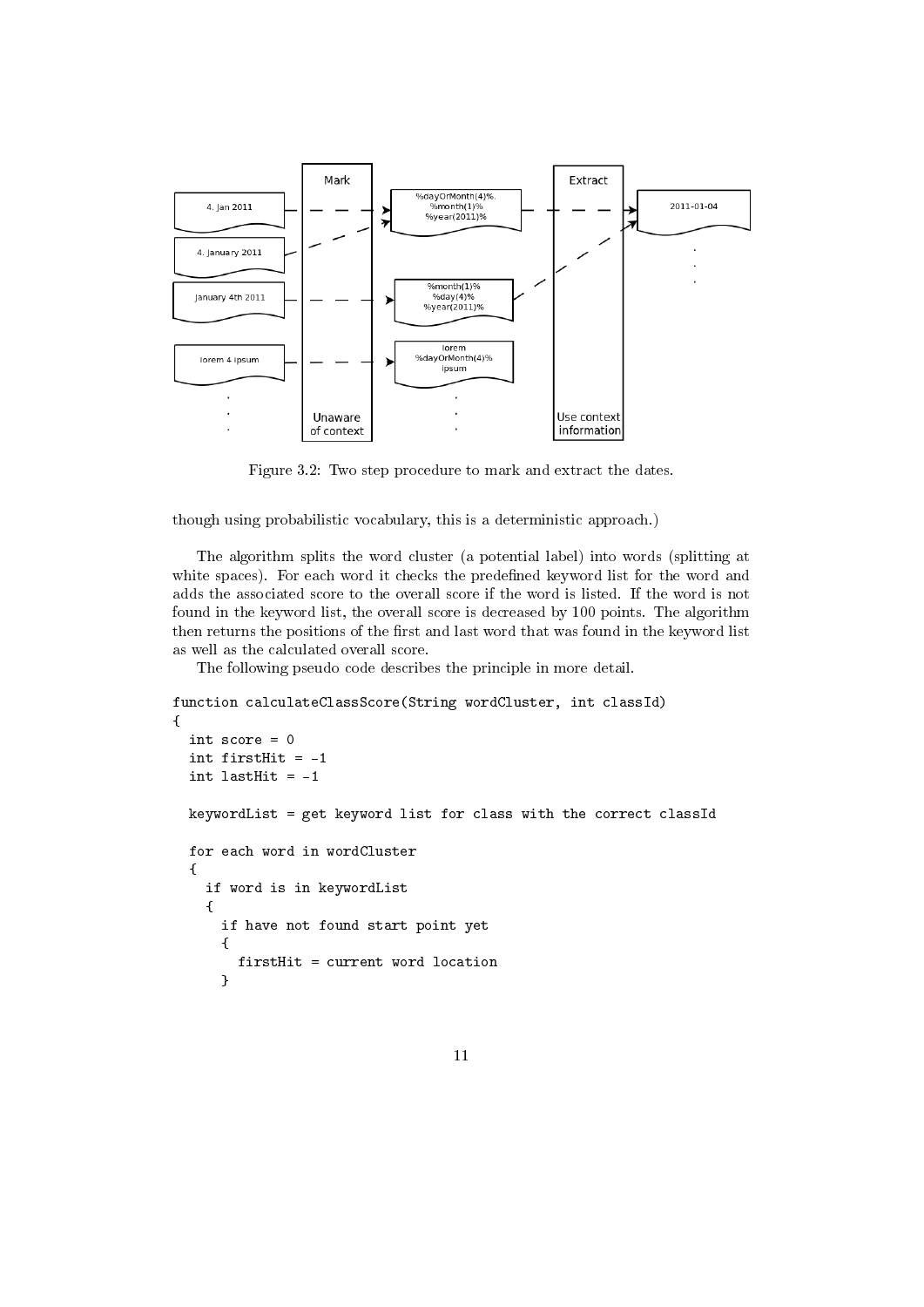

Figure 3.2: Two step procedure to mark and extract the dates.

though using probabilistic vocabulary, this is a deterministic approach.)

The algorithm splits the word cluster (a potential label) into words (splitting at white spaces). For each word it checks the predefined keyword list for the word and adds the associated score to the overall score if the word is listed. If the word is not found in the keyword list, the overall score is decreased by 100 points. The algorithm then returns the positions of the first and last word that was found in the keyword list as well as the calculated overall score.

The following pseudo code describes the principle in more detail.

```
function calculateClassScore(String wordCluster, int classId)
{
  int score = 0
  int firstHit = -1
  int lastHit = -1keywordList = get keyword list for class with the correct classId
  for each word in wordCluster
  {
    if word is in keywordList
    {
      if have not found start point yet
      \mathsf{f}firstHit = current word location
      }
```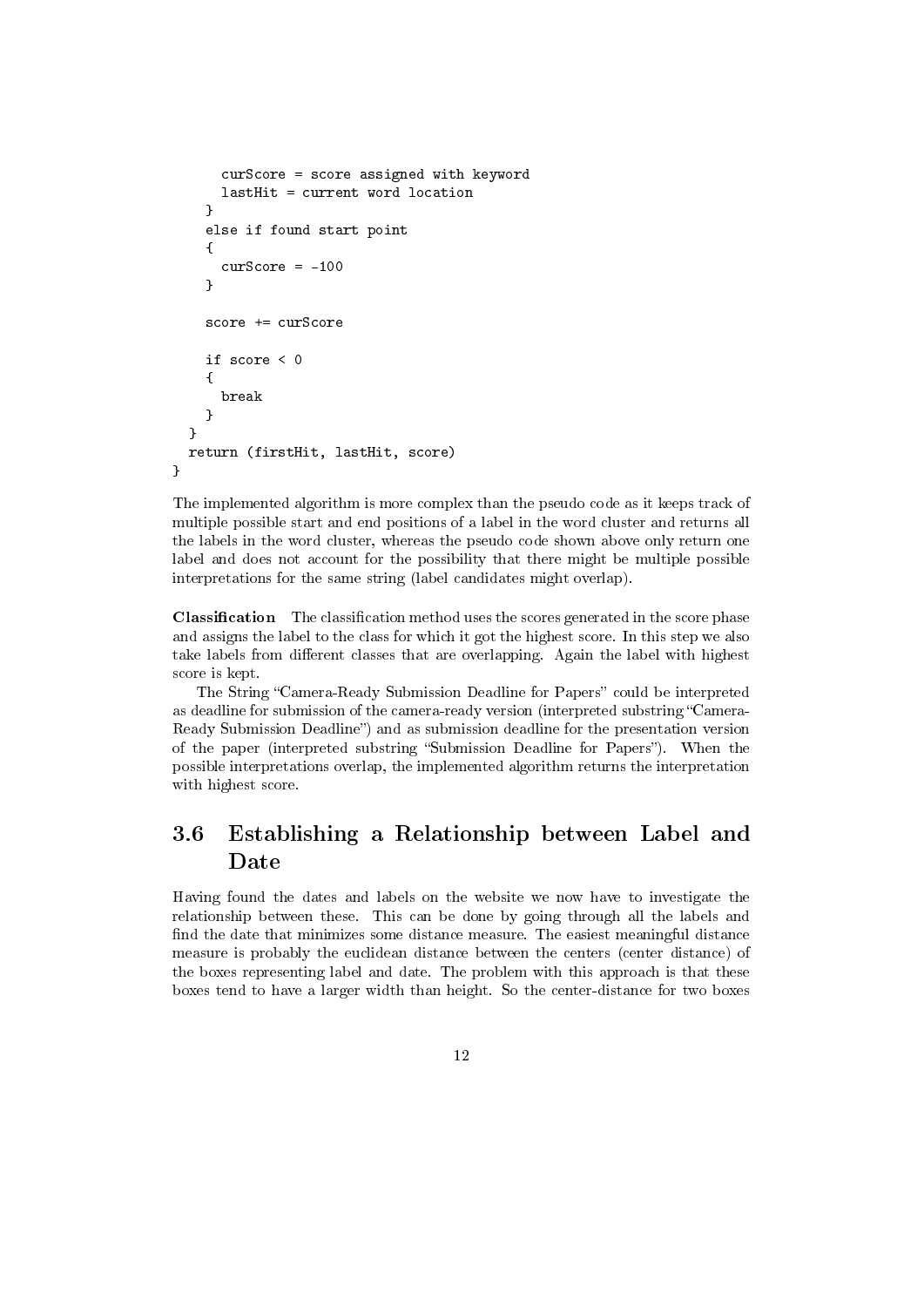```
curScore = score assigned with keyword
      lastHit = current word location
    }
    else if found start point
    {
      curScore = -100}
    score += curScore
    if score < 0
    {
      break
    }
  }
  return (firstHit, lastHit, score)
}
```
The implemented algorithm is more complex than the pseudo code as it keeps track of multiple possible start and end positions of a label in the word cluster and returns all the labels in the word cluster, whereas the pseudo code shown above only return one label and does not account for the possibility that there might be multiple possible interpretations for the same string (label candidates might overlap).

**Classification** The classification method uses the scores generated in the score phase and assigns the label to the class for which it got the highest score. In this step we also take labels from different classes that are overlapping. Again the label with highest score is kept.

The String "Camera-Ready Submission Deadline for Papers" could be interpreted as deadline for submission of the camera-ready version (interpreted substring "Camera-Ready Submission Deadline") and as submission deadline for the presentation version of the paper (interpreted substring "Submission Deadline for Papers"). When the possible interpretations overlap, the implemented algorithm returns the interpretation with highest score.

#### 3.6 Establishing a Relationship between Label and Date

Having found the dates and labels on the website we now have to investigate the relationship between these. This can be done by going through all the labels and find the date that minimizes some distance measure. The easiest meaningful distance measure is probably the euclidean distance between the centers (center distance) of the boxes representing label and date. The problem with this approach is that these boxes tend to have a larger width than height. So the center-distance for two boxes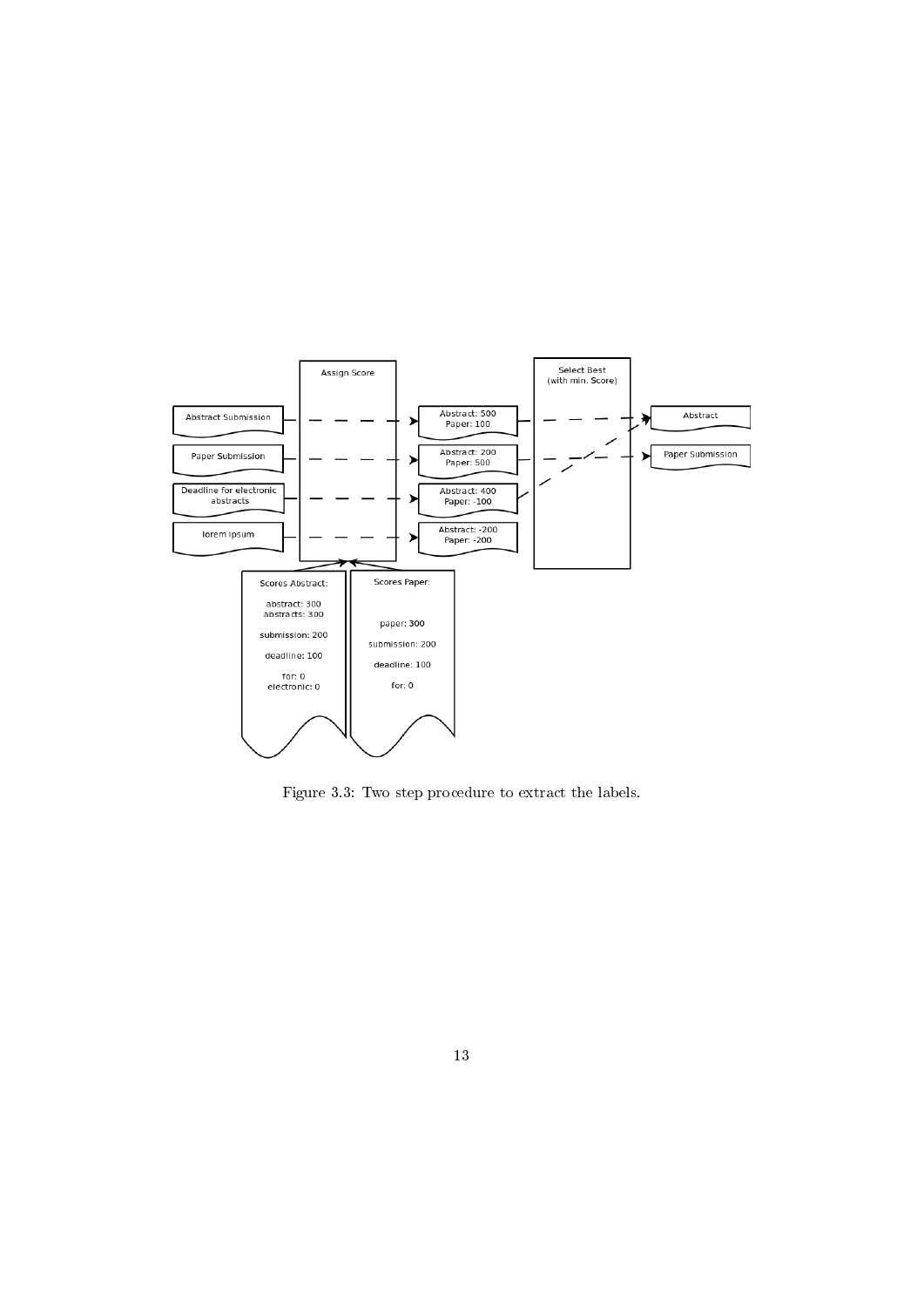

Figure 3.3: Two step procedure to extract the labels.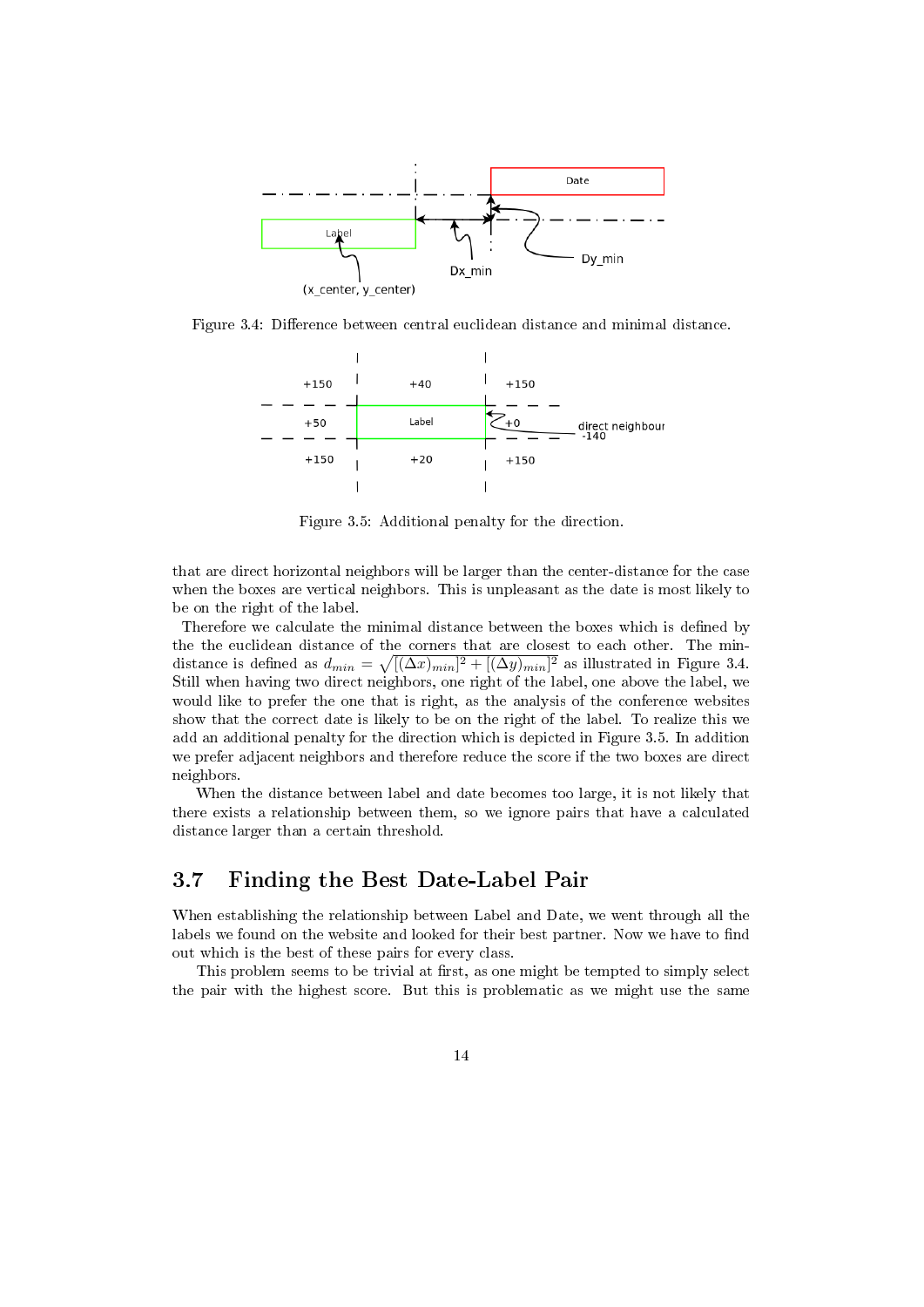

Figure 3.4: Difference between central euclidean distance and minimal distance.



Figure 3.5: Additional penalty for the direction.

that are direct horizontal neighbors will be larger than the center-distance for the case when the boxes are vertical neighbors. This is unpleasant as the date is most likely to be on the right of the label.

Therefore we calculate the minimal distance between the boxes which is defined by the the euclidean distance of the corners that are closest to each other. The mindistance is defined as  $d_{min} = \sqrt{[(\Delta x)_{min}]^2 + [(\Delta y)_{min}]^2}$  as illustrated in Figure 3.4. Still when having two direct neighbors, one right of the label, one above the label, we would like to prefer the one that is right, as the analysis of the conference websites show that the correct date is likely to be on the right of the label. To realize this we add an additional penalty for the direction which is depicted in Figure 3.5. In addition we prefer adjacent neighbors and therefore reduce the score if the two boxes are direct neighbors.

When the distance between label and date becomes too large, it is not likely that there exists a relationship between them, so we ignore pairs that have a calculated distance larger than a certain threshold.

#### 3.7 Finding the Best Date-Label Pair

When establishing the relationship between Label and Date, we went through all the labels we found on the website and looked for their best partner. Now we have to find out which is the best of these pairs for every class.

This problem seems to be trivial at first, as one might be tempted to simply select the pair with the highest score. But this is problematic as we might use the same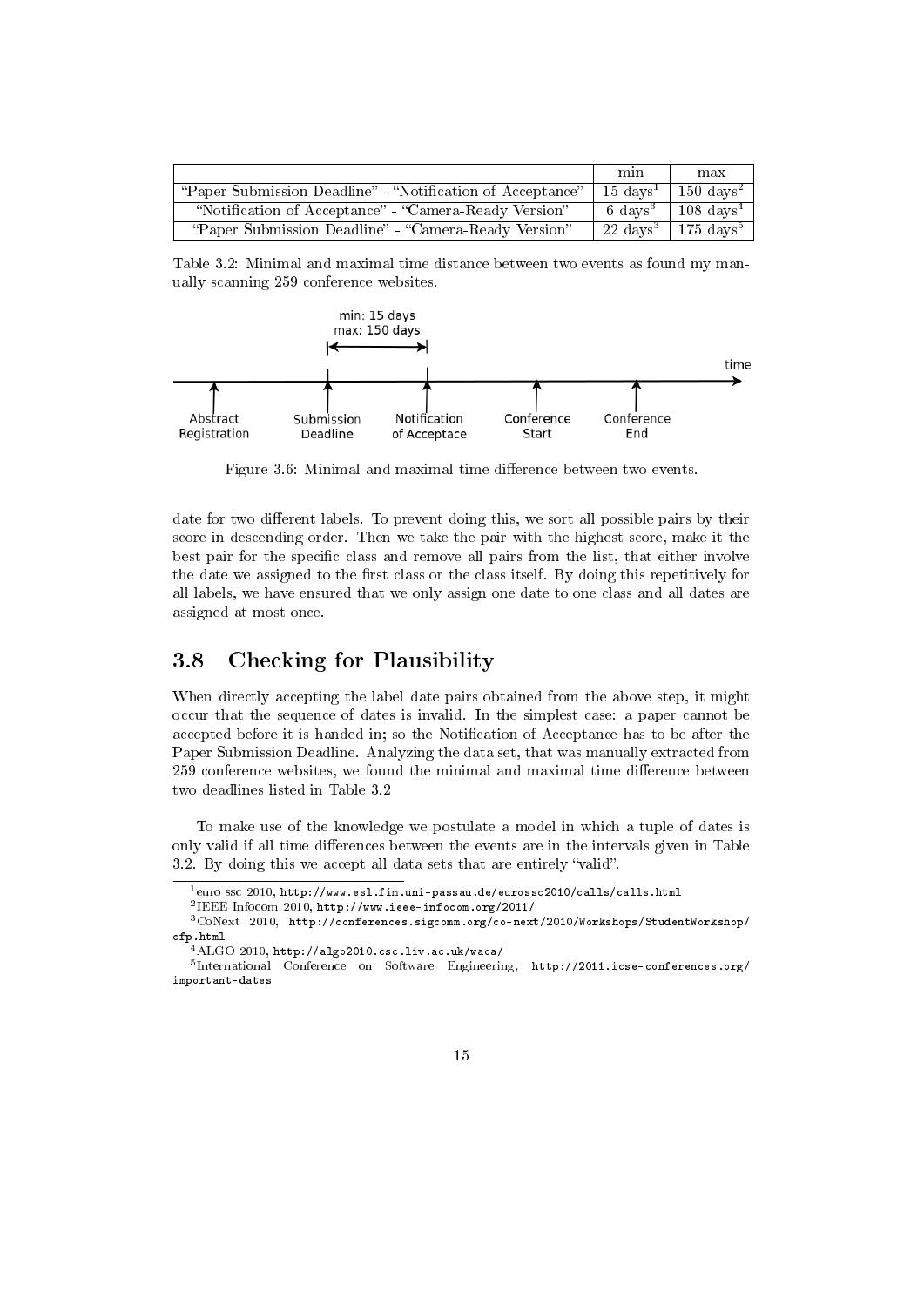|                                                            | min                 | max                         |
|------------------------------------------------------------|---------------------|-----------------------------|
| "Paper Submission Deadline" - "Notification of Acceptance" | $15~{\rm days}^1$   | $\sqrt{150 \text{ days}^2}$ |
| "Notification of Acceptance" - "Camera-Ready Version"      | $6 \text{ days}^3$  | $108 \text{ days}^4$        |
| "Paper Submission Deadline" - "Camera-Ready Version"       | $22 \text{ days}^3$ | $\sqrt{175 \text{ days}^5}$ |

Table 3.2: Minimal and maximal time distance between two events as found my manually scanning 259 conference websites.



Figure 3.6: Minimal and maximal time difference between two events.

date for two different labels. To prevent doing this, we sort all possible pairs by their score in descending order. Then we take the pair with the highest score, make it the best pair for the specific class and remove all pairs from the list, that either involve the date we assigned to the first class or the class itself. By doing this repetitively for all labels, we have ensured that we only assign one date to one class and all dates are assigned at most once.

#### 3.8 Checking for Plausibility

When directly accepting the label date pairs obtained from the above step, it might occur that the sequence of dates is invalid. In the simplest case: a paper cannot be accepted before it is handed in; so the Notification of Acceptance has to be after the Paper Submission Deadline. Analyzing the data set, that was manually extracted from 259 conference websites, we found the minimal and maximal time difference between two deadlines listed in Table 3.2

To make use of the knowledge we postulate a model in which a tuple of dates is only valid if all time differences between the events are in the intervals given in Table 3.2. By doing this we accept all data sets that are entirely "valid".

 $^1$ euro ssc  $2010, \,\mathtt{http://www.esl.fim.uni-passau.de/eurossc2010/calls/calls.html}$ 

<sup>2</sup> IEEE Infocom 2010, http://www.ieee-infocom.org/2011/

<sup>3</sup>CoNext 2010, http://conferences.sigcomm.org/co-next/2010/Workshops/StudentWorkshop/ cfp.html

 $^4\rm ALGO$   $2010,$  <code>http://algo2010.csc.liv.ac.uk/waoa/</code>

<sup>5</sup> International Conference on Software Engineering, http://2011.icse-conferences.org/ important-dates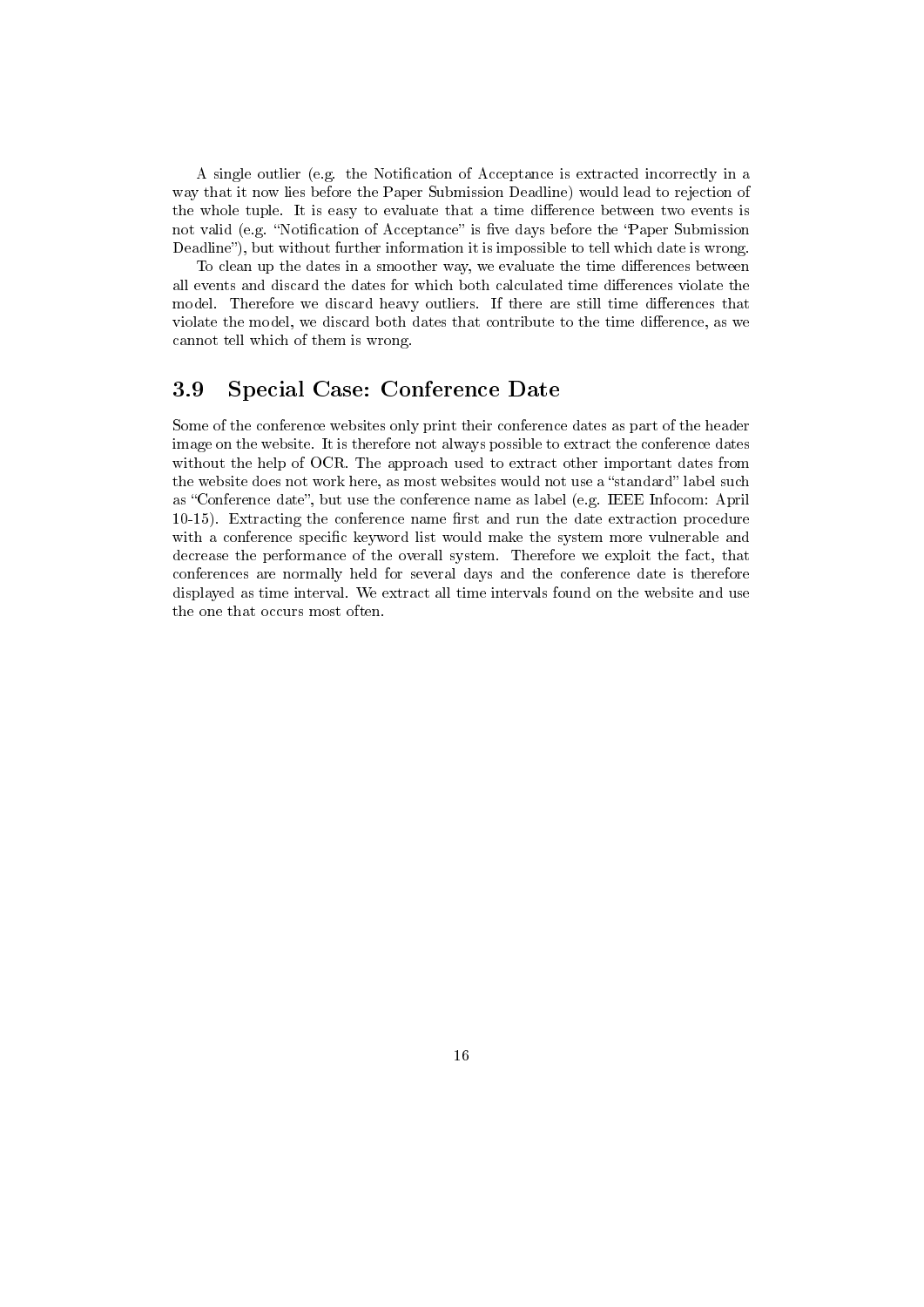A single outlier (e.g. the Notification of Acceptance is extracted incorrectly in a way that it now lies before the Paper Submission Deadline) would lead to rejection of the whole tuple. It is easy to evaluate that a time difference between two events is not valid (e.g. "Notification of Acceptance" is five days before the "Paper Submission Deadline"), but without further information it is impossible to tell which date is wrong.

To clean up the dates in a smoother way, we evaluate the time differences between all events and discard the dates for which both calculated time differences violate the model. Therefore we discard heavy outliers. If there are still time differences that violate the model, we discard both dates that contribute to the time difference, as we cannot tell which of them is wrong.

#### 3.9 Special Case: Conference Date

Some of the conference websites only print their conference dates as part of the header image on the website. It is therefore not always possible to extract the conference dates without the help of OCR. The approach used to extract other important dates from the website does not work here, as most websites would not use a "standard" label such as "Conference date", but use the conference name as label (e.g. IEEE Infocom: April  $10-15$ ). Extracting the conference name first and run the date extraction procedure with a conference specific keyword list would make the system more vulnerable and decrease the performance of the overall system. Therefore we exploit the fact, that conferences are normally held for several days and the conference date is therefore displayed as time interval. We extract all time intervals found on the website and use the one that occurs most often.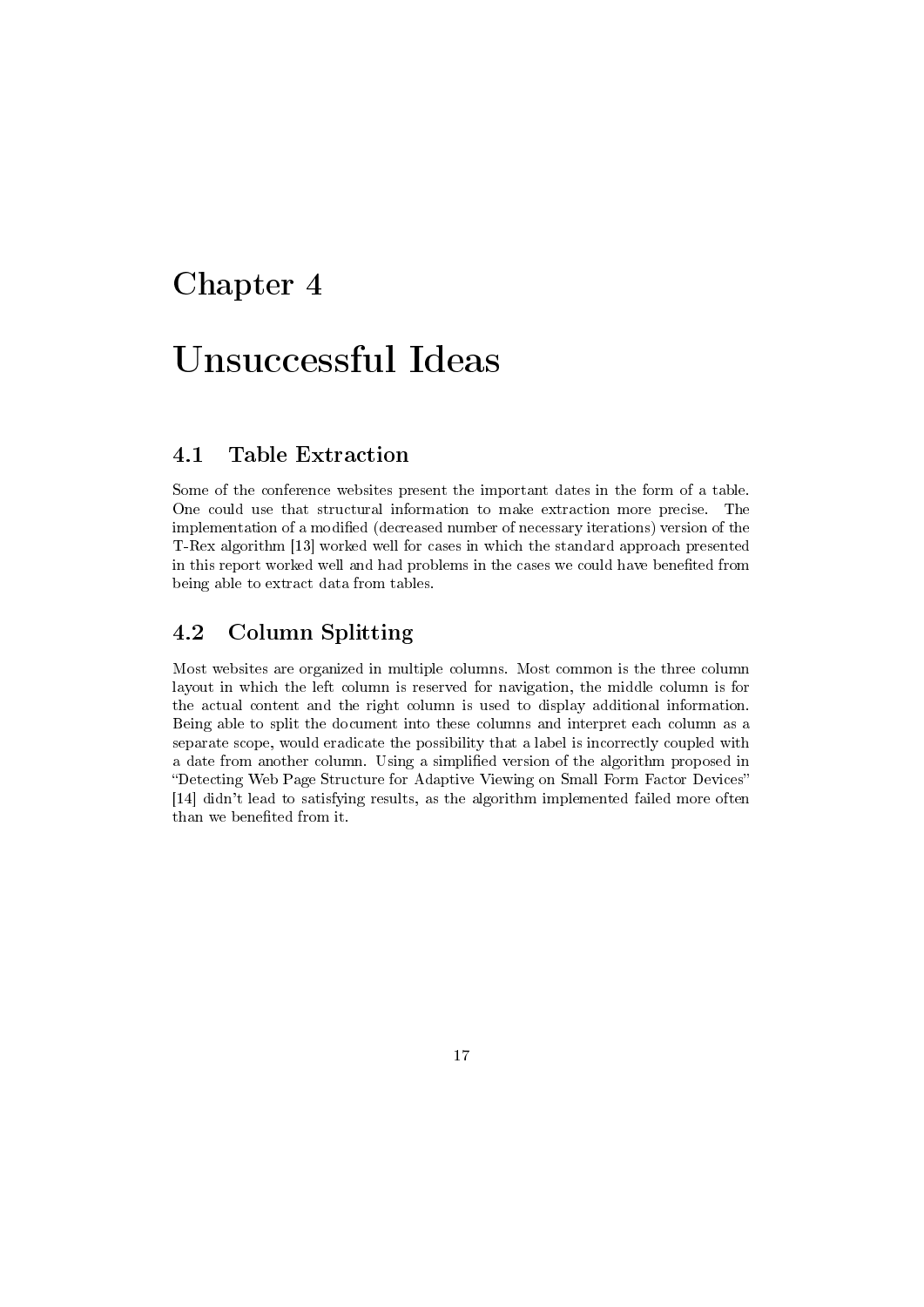## Unsuccessful Ideas

#### 4.1 Table Extraction

Some of the conference websites present the important dates in the form of a table. One could use that structural information to make extraction more precise. The implementation of a modified (decreased number of necessary iterations) version of the T-Rex algorithm [13] worked well for cases in which the standard approach presented in this report worked well and had problems in the cases we could have benefited from being able to extract data from tables.

#### 4.2 Column Splitting

Most websites are organized in multiple columns. Most common is the three column layout in which the left column is reserved for navigation, the middle column is for the actual content and the right column is used to display additional information. Being able to split the document into these columns and interpret each column as a separate scope, would eradicate the possibility that a label is incorrectly coupled with a date from another column. Using a simplied version of the algorithm proposed in Detecting Web Page Structure for Adaptive Viewing on Small Form Factor Devices [14] didn't lead to satisfying results, as the algorithm implemented failed more often than we benefited from it.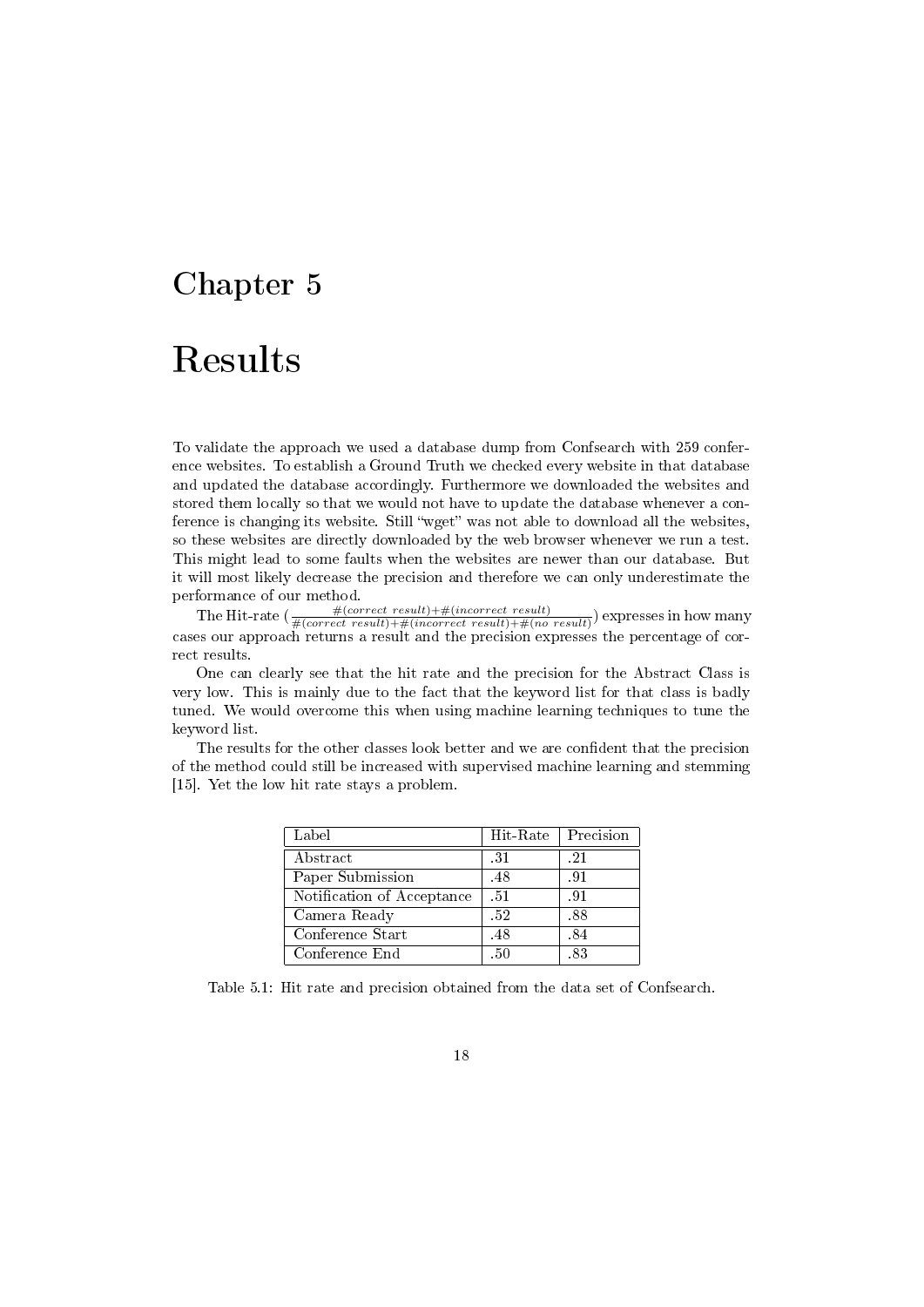## Results

To validate the approach we used a database dump from Confsearch with 259 conference websites. To establish a Ground Truth we checked every website in that database and updated the database accordingly. Furthermore we downloaded the websites and stored them locally so that we would not have to update the database whenever a conference is changing its website. Still "wget" was not able to download all the websites, so these websites are directly downloaded by the web browser whenever we run a test. This might lead to some faults when the websites are newer than our database. But it will most likely decrease the precision and therefore we can only underestimate the performance of our method.

The Hit-rate  $(\frac{\#(correct\ result)+\#(incorrect\ result)+\#(incorrect\ result)}{\#(correct\ result)+\#(incorrect\ result)+\#(no\ result)})$  expresses in how many cases our approach returns a result and the precision expresses the percentage of correct results.

One can clearly see that the hit rate and the precision for the Abstract Class is very low. This is mainly due to the fact that the keyword list for that class is badly tuned. We would overcome this when using machine learning techniques to tune the keyword list.

The results for the other classes look better and we are confident that the precision of the method could still be increased with supervised machine learning and stemming [15]. Yet the low hit rate stays a problem.

| Label                      | Hit-Rate | Precision |
|----------------------------|----------|-----------|
| Abstract                   | -31      | .21       |
| Paper Submission           | .48      | .91       |
| Notification of Acceptance | $-51$    | .91       |
| Camera Ready               | -52      | .88       |
| Conference Start           | .48      | .84       |
| Conference End             | -50      | -83       |

Table 5.1: Hit rate and precision obtained from the data set of Confsearch.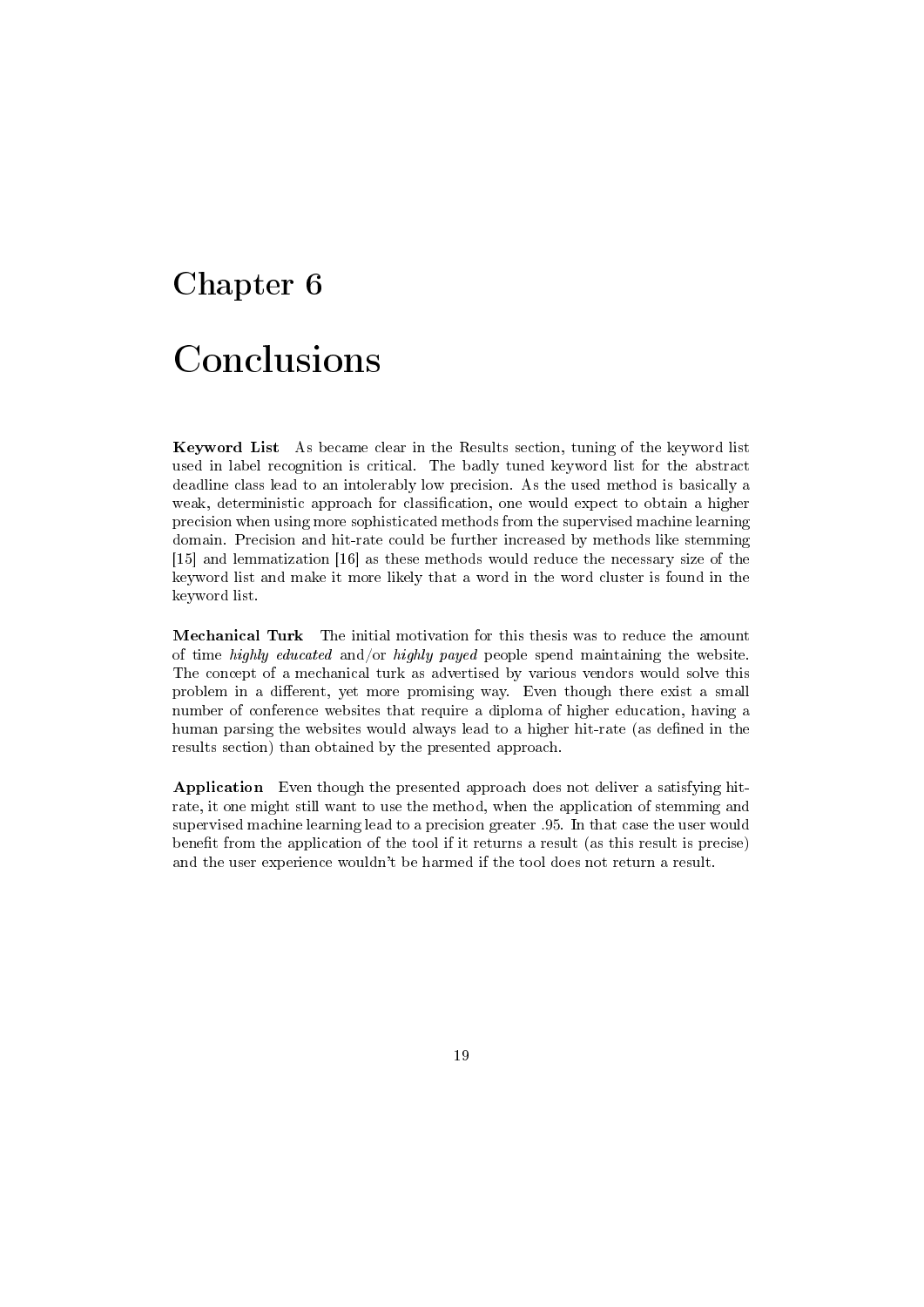## Conclusions

Keyword List As became clear in the Results section, tuning of the keyword list used in label recognition is critical. The badly tuned keyword list for the abstract deadline class lead to an intolerably low precision. As the used method is basically a weak, deterministic approach for classification, one would expect to obtain a higher precision when using more sophisticated methods from the supervised machine learning domain. Precision and hit-rate could be further increased by methods like stemming [15] and lemmatization [16] as these methods would reduce the necessary size of the keyword list and make it more likely that a word in the word cluster is found in the keyword list.

Mechanical Turk The initial motivation for this thesis was to reduce the amount of time highly educated and/or highly payed people spend maintaining the website. The concept of a mechanical turk as advertised by various vendors would solve this problem in a different, yet more promising way. Even though there exist a small number of conference websites that require a diploma of higher education, having a human parsing the websites would always lead to a higher hit-rate (as defined in the results section) than obtained by the presented approach.

Application Even though the presented approach does not deliver a satisfying hitrate, it one might still want to use the method, when the application of stemming and supervised machine learning lead to a precision greater .95. In that case the user would benefit from the application of the tool if it returns a result (as this result is precise) and the user experience wouldn't be harmed if the tool does not return a result.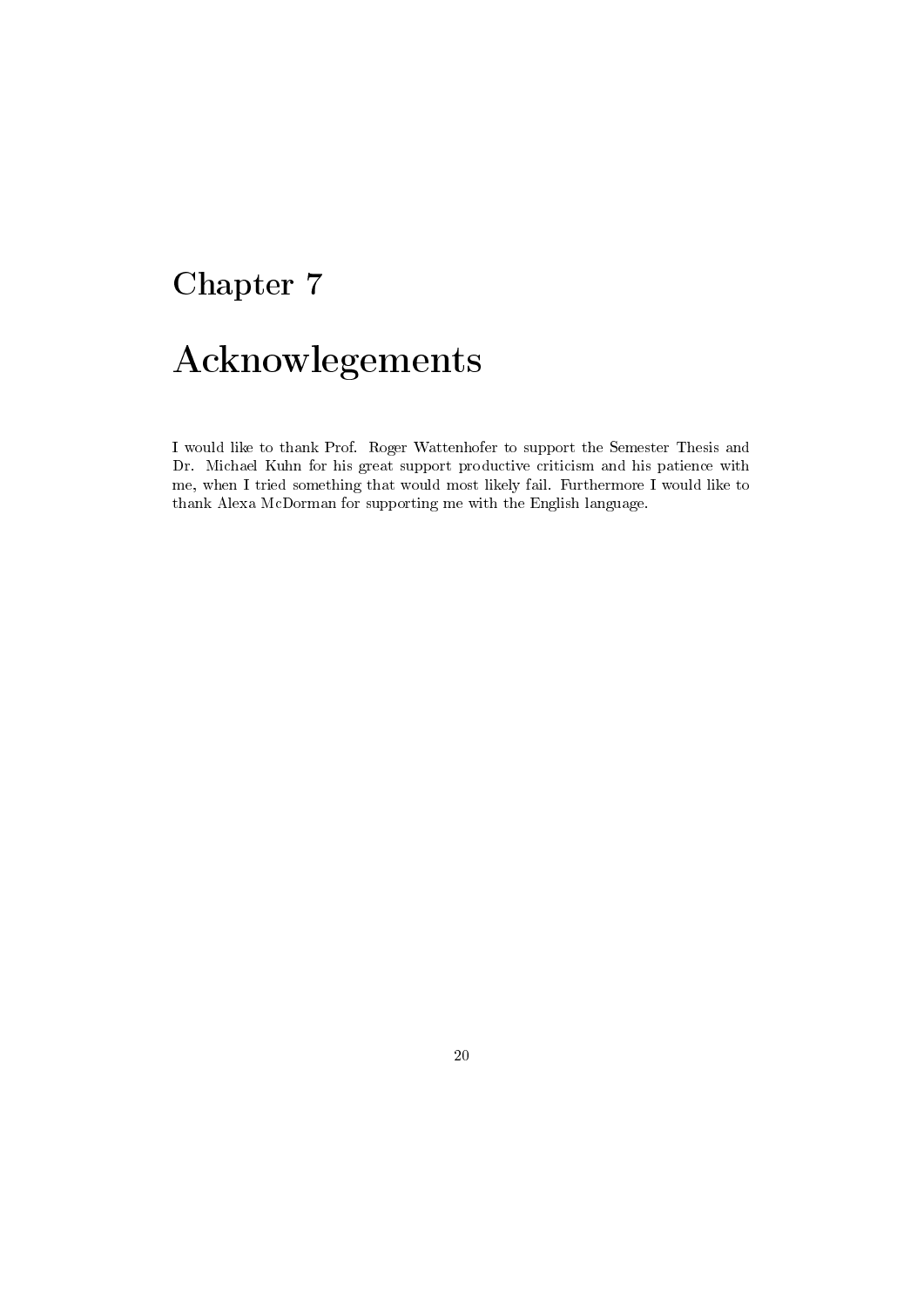# Acknowlegements

I would like to thank Prof. Roger Wattenhofer to support the Semester Thesis and Dr. Michael Kuhn for his great support productive criticism and his patience with me, when I tried something that would most likely fail. Furthermore I would like to thank Alexa McDorman for supporting me with the English language.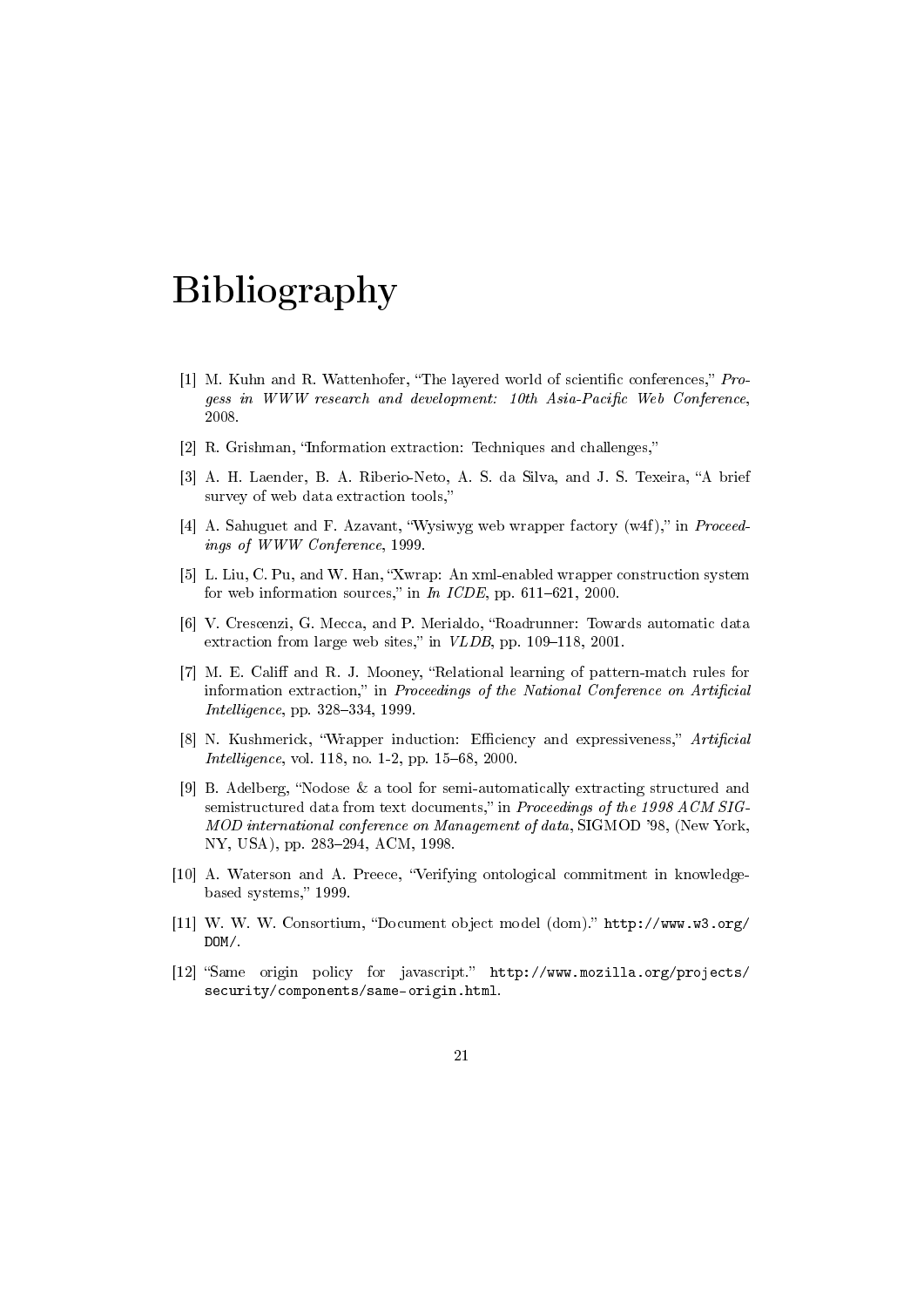## Bibliography

- [1] M. Kuhn and R. Wattenhofer, "The layered world of scientific conferences,"  $Pro$ gess in WWW research and development: 10th Asia-Pacific Web Conference, 2008.
- [2] R. Grishman, "Information extraction: Techniques and challenges,"
- [3] A. H. Laender, B. A. Riberio-Neto, A. S. da Silva, and J. S. Texeira, "A brief survey of web data extraction tools,
- [4] A. Sahuguet and F. Azavant, "Wysiwyg web wrapper factory (w4f)," in *Proceed*ings of WWW Conference, 1999.
- [5] L. Liu, C. Pu, and W. Han, "Xwrap: An xml-enabled wrapper construction system for web information sources," in  $In~ICDE$ , pp. 611-621, 2000.
- [6] V. Crescenzi, G. Mecca, and P. Merialdo, "Roadrunner: Towards automatic data extraction from large web sites," in  $VLDB$ , pp. 109-118, 2001.
- [7] M. E. Califf and R. J. Mooney, "Relational learning of pattern-match rules for information extraction," in Proceedings of the National Conference on Artificial Intelligence, pp. 328-334, 1999.
- [8] N. Kushmerick, "Wrapper induction: Efficiency and expressiveness," Artificial *Intelligence*, vol. 118, no. 1-2, pp.  $15-68$ , 2000.
- [9] B. Adelberg, "Nodose  $\&$  a tool for semi-automatically extracting structured and semistructured data from text documents," in Proceedings of the 1998 ACM SIG-MOD international conference on Management of data, SIGMOD '98, (New York, NY, USA), pp. 283-294, ACM, 1998.
- [10] A. Waterson and A. Preece, Verifying ontological commitment in knowledgebased systems," 1999.
- [11] W. W. W. Consortium, "Document object model (dom)." http://www.w3.org/ DOM/.
- [12] "Same origin policy for javascript." http://www.mozilla.org/projects/ security/components/same-origin.html.